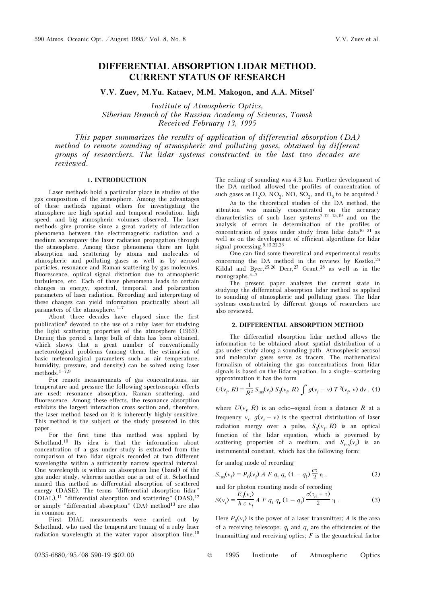# DIFFERENTIAL ABSORPTION LIDAR METHOD. CURRENT STATUS OF RESEARCH

V.V. Zuev, M.Yu. Kataev, M.M. Makogon, and A.A. Mitsel'

Institute of Atmospheric Optics, Siberian Branch of the Russian Academy of Sciences, Tomsk Received February 13, 1995

This paper summarizes the results of application of differential absorption (DA) method to remote sounding of atmospheric and polluting gases, obtained by different groups of researchers. The lidar systems constructed in the last two decades are reviewed.

# 1. INTRODUCTION

Laser methods hold a particular place in studies of the gas composition of the atmosphere. Among the advantages of these methods against others for investigating the atmosphere are high spatial and temporal resolution, high speed, and big atmospheric volumes observed. The laser methods give promise since a great variety of interaction phenomena between the electromagnetic radiation and a medium accompany the laser radiation propagation through the atmosphere. Among these phenomena there are light absorption and scattering by atoms and molecules of atmospheric and polluting gases as well as by aerosol particles, resonance and Raman scattering by gas molecules, fluorescence, optical signal distortion due to atmospheric turbulence, etc. Each of these phenomena leads to certain changes in energy, spectral, temporal, and polarization parameters of laser radiation. Recording and interpreting of these changes can yield information practically about all parameters of the atmosphere.1–7

About three decades have elapsed since the first publication8 devoted to the use of a ruby laser for studying the light scattering properties of the atmosphere (1963). During this period a large bulk of data has been obtained, which shows that a great number of conventionally meteorological problems (among them, the estimation of basic meteorological parameters such as air temperature, humidity, pressure, and density) can be solved using laser methods.  $1-7,9$ 

For remote measurements of gas concentrations, air temperature and pressure the following spectroscopic effects are used: resonance absorption, Raman scattering, and fluorescence. Among these effects, the resonance absorption exhibits the largest interaction cross section and, therefore, the laser method based on it is inherently highly sensitive. This method is the subject of the study presented in this paper.

For the first time this method was applied by Schotland.10 Its idea is that the information about concentration of a gas under study is extracted from the comparison of two lidar signals recorded at two different wavelengths within a sufficiently narrow spectral interval. One wavelength is within an absorption line (band) of the gas under study, whereas another one is out of it. Schotland named this method as differential absorption of scattered energy (DASE). The terms "differential absorption lidar" (DIAL),<sup>11</sup> "differential absorption and scattering" (DAS),<sup>12</sup> or simply "differential absorption" (DA) method<sup>13</sup> are also in common use.

First DIAL measurements were carried out by Schotland, who used the temperature tuning of a ruby laser radiation wavelength at the water vapor absorption line.<sup>10</sup>

The ceiling of sounding was 4.3 km. Further development of the DA method allowed the profiles of concentration of such gases as  $H_2O$ , NO<sub>2</sub>, NO, SO<sub>2</sub>, and O<sub>3</sub> to be acquired.<sup>7</sup>

As to the theoretical studies of the DA method, the attention was mainly concentrated on the accuracy characteristics of such laser systems<sup>7,12–15,19</sup> and on the analysis of errors in determination of the profiles of concentration of gases under study from lidar data<sup>16–21</sup> as well as on the development of efficient algorithms for lidar signal processing.9,15,22,23

One can find some theoretical and experimental results concerning the DA method in the reviews by Kostko, $^{24}$ Kildal and Byer,  $25,26$  Derr,  $27$  Grant,  $28$  as well as in the monographs. $4-7$ 

The present paper analyzes the current state in studying the differential absorption lidar method as applied to sounding of atmospheric and polluting gases. The lidar systems constructed by different groups of researchers are also reviewed.

## 2. DIFFERENTIAL ABSORPTION METHOD

The differential absorption lidar method allows the information to be obtained about spatial distribution of a gas under study along a sounding path. Atmospheric aerosol and molecular gases serve as tracers. The mathematical formalism of obtaining the gas concentrations from lidar signals is based on the lidar equation. In a single–scattering approximation it has the form

$$
U(v_i, R) = \frac{1}{R^2} S_{\text{ins}}(v_i) S_0(v_i, R) \int g(v_i - v) T^2(v_i, v) dv
$$
, (1)

where  $U(\nu_i, R)$  is an echo-signal from a distance R at a frequency  $v_i$ ,  $g(v_i - v)$  is the spectral distribution of laser radiation energy over a pulse,  $S_0(v_i, R)$  is an optical function of the lidar equation, which is governed by scattering properties of a medium, and  $S_{\text{ins}}(v_i)$  is an instrumental constant, which has the following form:

for analog mode of recording

$$
S_{\text{ins}}(v_i) = P_0(v_i) \, A \, F \, q_t \, q_r \, (1 - q_1) \frac{c\tau}{2} \, \eta \tag{2}
$$

and for photon counting mode of recording

$$
S(v_i) = \frac{E_0(v_i)}{h c v_i} A F q_t q_r (1 - q_1) \frac{c(\tau_d + \tau)}{2} \eta .
$$
 (3)

Here  $P_0(v_i)$  is the power of a laser transmitter; A is the area of a receiving telescope;  $q_t$  and  $q_r$  are the efficiencies of the transmitting and receiving optics;  $F$  is the geometrical factor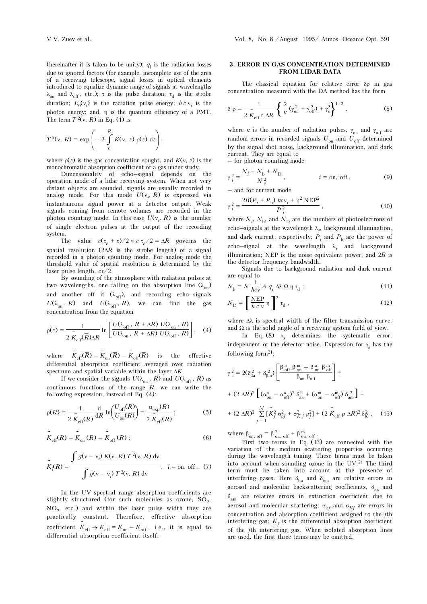$T^2(v, R) = \exp$ 

The term  $T^2(v, R)$  in Eq. (1) is

⎝  $\mathsf I$  $\big($ 

of a receiving telescope, signal losses in optical elements introduced to equalize dynamic range of signals at wavelengths  $λ_{on}$  and  $λ_{off}$ , etc.); τ is the pulse duration; τ<sub>d</sub> is the strobe The classical equation for relative error δρ in gas concentration measured with the DA method has the form

$$
\delta \rho = \frac{1}{2 \tilde{K}_{\rm eff} \, r \, \Delta R} \left\{ \frac{2}{n} \left( \gamma_{\rm on}^2 + \gamma_{\rm off}^2 \right) + \gamma_{\rm s}^2 \right\}^{1/2},\tag{8}
$$

where *n* is the number of radiation pulses,  $\gamma_{on}$  and  $\gamma_{off}$  are random errors in recorded signals  $U_{\text{on}}$  and  $U_{\text{off}}$  determined by the signal shot noise, background illumination, and dark current. They are equal to – for photon counting mode

$$
\gamma_i^2 = \frac{N_i + N_{\rm b} + N_{\rm D}}{N_i^2}, \qquad i = \text{on, off}, \qquad (9)
$$

– and for current mode

$$
\gamma_i^2 = \frac{2B(P_i + P_{\rm b})\; hcv_i + \eta^2 \; \text{NEP}^2}{P_i^2},\tag{10}
$$

where  $N_i$ ,  $N_b$ , and  $N_D$  are the numbers of photoelectrons of echo–signals at the wavelength  $\lambda_i$ , background illumination, and dark current, respectively;  $P_i$  and  $P_b$  are the power of echo–signal at the wavelength  $\lambda_i$  and background illumination; NEP is the noise equivalent power; and  $2B$  is the detector frequency bandwidth.

Signals due to background radiation and dark current are equal to

$$
N_{\rm b} = N \frac{1}{\hbar c v} A q_{\rm r} \Delta \lambda \Omega \eta \tau_{\rm d} ; \qquad (11)
$$

$$
N_{\rm D} = \left[\frac{\rm NEP}{h\,c\,\nu}\,\eta\,\right]^2\,\tau_{\rm d}\,,\tag{12}
$$

where  $\Delta\lambda$  is spectral width of the filter transmission curve, and  $\Omega$  is the solid angle of a receiving system field of view.

In Eq. (8)  $\gamma_s$  determines the systematic error, independent of the detector noise. Expression for  $\gamma_s$  has the following form $21$ :

$$
\gamma_{s}^{2} = 2(\delta_{\beta a}^{2} + \delta_{\beta m}^{2}) \left[ \frac{\beta_{off}^{a} \beta_{on}^{m} - \beta_{on}^{a} \beta_{off}^{m}}{\beta_{on} \beta_{off}} \right] +
$$
  
+  $(2 \Delta R)^{2} \left[ (\alpha_{on}^{a} - \alpha_{off}^{a})^{2} \delta_{aa}^{2} + (\alpha_{on}^{m} - \alpha_{off}^{m}) \delta_{am}^{2} \right] +$   
+  $(2 \Delta R)^{2} \sum_{j=1}^{M} [\tilde{K}_{j}^{2} \sigma_{pj}^{2} + \sigma_{Kj}^{2} \rho_{j}^{2}] + (2 \tilde{K}_{eff} \rho \Delta R)^{2} \delta_{K}^{2},$  (13)

where  $\beta_{\text{on. off}} = \beta_{\text{on. off}}^2 + \beta_{\text{on. off}}^m$ .

First two terms in Eq. (13) are connected with the variation of the medium scattering properties occurring during the wavelength tuning. These terms must be taken into account when sounding ozone in the UV.<sup>21</sup> The third term must be taken into account at the presence of interfering gases. Here  $\delta_{ba}$  and  $\delta_{bm}$  are relative errors in aerosol and molecular backscattering coefficients,  $\delta_{aa}$  and  $\delta$ <sub>am</sub> are relative errors in extinction coefficient due to aerosol and molecular scattering;  $\sigma_{qj}$  and  $\sigma_{Kj}$  are errors in concentration and absorption coefficient assigned to the jth interfering gas;  $K_j$  is the differential absorption coefficient of the jth interfering gas. When isolated absorption lines are used, the first three terms may be omitted.

where  $\rho(z)$  is the gas concentration sought, and  $K(y, z)$  is the monochromatic absorption coefficient of a gas under study.

 $\left(-2\int\limits_{0}^{R} K(v, z) \rho(z) dz\right)$ 

 $K(v, z)$   $\rho(z)$  dz |,

R

⎠

duration;  $E_0(v_i)$  is the radiation pulse energy;  $h c v_i$  is the photon energy; and, η is the quantum efficiency of a PMT.

Dimensionality of echo–signal depends on the operation mode of a lidar receiving system. When not very distant objects are sounded, signals are usually recorded in analog mode. For this mode  $U(\mathbf{v}_i, R)$  is expressed via instantaneous signal power at a detector output. Weak signals coming from remote volumes are recorded in the photon counting mode. In this case  $U(\mathbf{v}_i, R)$  is the number of single electron pulses at the output of the recording system.

The value  $c(\tau_d + \tau)/2 \approx c \tau_d/2 = \Delta R$  governs the spatial resolution  $(2\Delta R)$  is the strobe length) of a signal recorded in a photon counting mode. For analog mode the threshold value of spatial resolution is determined by the laser pulse length,  $c\tau/2$ .

By sounding of the atmosphere with radiation pulses at two wavelengths, one falling on the absorption line  $(\lambda_{\text{on}})$ and another off it  $(\lambda_{off})$ , and recording echo–signals  $U(\lambda_{\text{on}}^-, R)$  and  $U(\lambda_{\text{off}}^-, R)$ , we can find the gas concentration from the equation

$$
\rho(z) = \frac{1}{2 \overline{K}_{\rm eff}(\overline{R}) \Delta R} \ln \left[ \frac{U(\lambda_{\rm off}, R + \Delta R) U(\lambda_{\rm on}, R)}{U(\lambda_{\rm on}, R + \Delta R) U(\lambda_{\rm off}, R)} \right], \quad (4)
$$

where  $\tilde{K}_{\text{eff}}(\overline{R}) = \tilde{K}_{\text{on}}(\overline{R}) - \tilde{K}_{\text{off}}(\overline{R})$ –) is the effective differential absorption coefficient averaged over radiation spectrum and spatial variable within the layer  $\Delta K$ .

If we consider the signals  $U(\lambda_{\rm on}$  ,  $R)$  and  $U(\lambda_{\rm off}$  ,  $R)$  as continuous functions of the range  $R$ , we can write the following expression, instead of Eq. (4):

$$
\rho(R) = \frac{1}{2 \tilde{K}_{\rm eff}(R)} \frac{d}{dR} \ln \left( \frac{U_{\rm off}(R)}{U_{\rm on}(R)} \right) = \frac{\alpha_{\rm exp}(R)}{2 \tilde{K}_{\rm eff}(R)}; \tag{5}
$$

$$
\tilde{K}_{\rm eff}(R) = \tilde{K}_{\rm on}(R) - \tilde{K}_{\rm off}(R) ; \qquad (6)
$$

$$
\tilde{K}_{i}(R) = \frac{\int g(v - v_{i}) K(v, R) T^{2}(v, R) dv}{\int g(v - v_{i}) T^{2}(v, R) dv}, \quad i = \text{on, off}.
$$
 (7)

In the UV spectral range absorption coefficients are slightly structured (for such molecules as ozone,  $SO_2$ ,  $NO<sub>2</sub>$ , etc.) and within the laser pulse width they are practically constant. Therefore, effective absorption coefficient  $\tilde{K}_{\text{eff}} \to \overline{K}_{\text{eff}} = \overline{K}_{\text{on}} - \overline{K}_{\text{off}}$ , i.e., it is equal to differential absorption coefficient itself.

FROM LIDAR DATA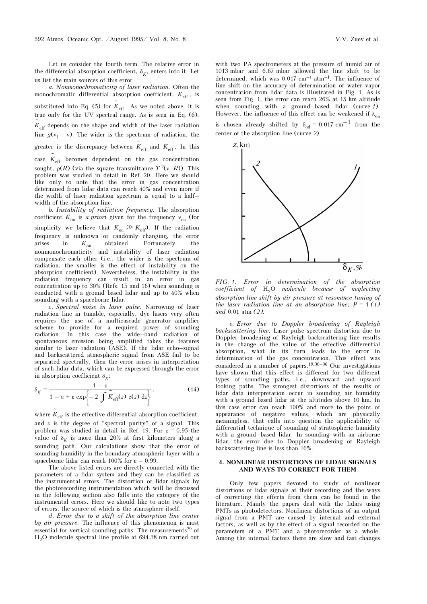Let us consider the fourth term. The relative error in the differential absorption coefficient,  $\delta_K$ , enters into it. Let us list the main sources of this error.

a. Nonmonochromaticity of laser radiation. Often the monochromatic differential absorption coefficient,  $K_{\text{eff}}$ , is substituted into Eq. (5) for  $\tilde{K}_{\text{eff}}$ . As we noted above, it is true only for the UV spectral range. As is seen in Eq. (6),  $K_{\text{eff}}$  depends on the shape and width of the laser radiation line  $g(v_i - v)$ . The wider is the spectrum of radiation, the greater is the discrepancy between  $K_{\text{eff}}$  and  $K_{\text{eff}}$ . In this case  $\tilde{K}_{\text{eff}}$  becomes dependent on the gas concentration

sought,  $\rho(R)$  (via the square transmittance  $T^2(v, R)$ ). This problem was studied in detail in Ref. 20. Here we should like only to note that the error in gas concentration determined from lidar data can reach 40% and even more if the width of laser radiation spectrum is equal to a half– width of the absorption line.

b. Instability of radiation frequency. The absorption coefficient  $K_{on}$  is a priori given for the frequency  $v_{on}$  (for simplicity we believe that  $K_{on} \gg K_{off}$ ). If the radiation frequency is unknown or randomly changing, the error arises in  $K_{\text{on}}$  obtained. Fortunately, the arises in  $K_{\text{on}}$  obtained. Fortunately, the nonmonochromaticity and instability of laser radiation compensate each other (i.e., the wider is the spectrum of radiation, the smaller is the effect of instability on the absorption coefficient). Nevertheless, the instability in the radiation frequency can result in an error in gas concentration up to 30% (Refs. 15 and 16) when sounding is conducted with a ground based lidar and up to 40% when sounding with a spaceborne lidar.

c. Spectral noise in laser pulse. Narrowing of laser radiation line in tunable, especially, dye lasers very often requires the use of a multicascade generator–amplifier scheme to provide for a required power of sounding radiation. In this case the wide–band radiation of spontaneous emission being amplified takes the features similar to laser radiation (ASE). If the lidar echo–signal and backscattered atmospheric signal from ASE fail to be separated spectrally, then the error arises in interpretation of such lidar data, which can be expressed through the error in absorption coefficient  $\delta_K$ :

$$
\delta_K = \frac{1 - \varepsilon}{1 - \varepsilon + \varepsilon \exp\left\{-2 \int \tilde{K}_{\rm eff}(z) \, \rho(z) \, dz\right\}},\tag{14}
$$

where  $\tilde{K}_{\rm eff}$  is the effective differential absorption coefficient, and ε is the degree of "spectral purity" of a signal. This problem was studied in detail in Ref. 19. For  $\varepsilon = 0.95$  the value of  $\delta_K$  is more than 20% at first kilometers along a sounding path. Our calculations show that the error of sounding humidity in the boundary atmospheric layer with a spaceborne lidar can reach  $100\%$  for  $\varepsilon = 0.99$ .

The above listed errors are directly connected with the parameters of a lidar system and they can be classified as the instrumental errors. The distortion of lidar signals by the photorecording instrumentation which will be discussed in the following section also falls into the category of the instrumental errors. Here we should like to note two types of errors, the source of which is the atmosphere itself.

d. Error due to a shift of the absorption line center by air pressure. The influence of this phenomenon is most essential for vertical sounding paths. The measurements<sup>29</sup> of H2O molecule spectral line profile at 694.38 nm carried out

with two PA spectrometers at the pressure of humid air of 1013 mbar and 6.67 mbar allowed the line shift to be determined, which was  $0.017 \text{ cm}^{-1} \text{ atm}^{-1}$ . The influence of line shift on the accuracy of determination of water vapor concentration from lidar data is illustrated in Fig. 1. As is seen from Fig. 1, the error can reach 26% at 15 km altitude when sounding with a ground–based lidar (curve 1). However, the influence of this effect can be weakened if  $\lambda_{\text{on}}$ is chosen already shifted by  $\delta_{\rm od} = 0.017 \text{ cm}^{-1}$  from the



FIG. 1. Error in determination of the absorption coefficient of  $H_2O$  molecule because of neglecting absorption line shift by air pressure at resonance tuning of the laser radiation line at an absorption line;  $P = 1 \cdot (1)$ and 0.01 atm (2).

e. Error due to Doppler broadening of Rayleigh backscattering line. Laser pulse spectrum distortion due to Doppler broadening of Rayleigh backscattering line results in the change of the value of the effective differential absorption, what in its turn leads to the error in determination of the gas concentration. This effect was considered in a number of papers.19,30–36 Our investigations have shown that this effect is different for two different types of sounding paths, i.e., downward and upward looking paths. The strongest distortions of the results of lidar data interpretation occur in sounding air humidity with a ground based lidar at the altitudes above 10 km. In this case error can reach 100% and more to the point of appearance of negative values, which are physically meaningless, that calls into question the applicability of differential technique of sounding of stratospheric humidity with a ground–based lidar. In sounding with an airborne lidar, the error due to Doppler broadening of Rayleigh backscattering line is less than 16%.

#### 4. NONLINEAR DISTORTIONS OF LIDAR SIGNALS AND WAYS TO CORRECT FOR THEM

Only few papers devoted to study of nonlinear distortions of lidar signals at their recording and the ways of correcting the effects from them can be found in the literature. Mainly the papers deal with the lidars using PMTs as photodetectors. Nonlinear distortions of an output signal from a PMT are caused by internal and external factors, as well as by the effect of a signal recorded on the parameters of a PMT and a photorecorder as a whole. Among the internal factors there are slow and fast changes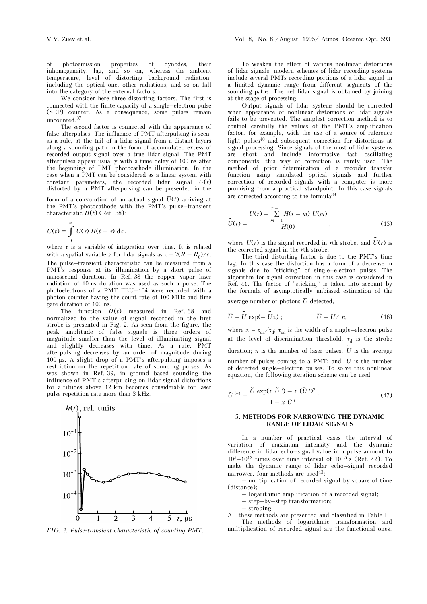of photoemission properties of dynodes, their inhomogeneity, lag, and so on, whereas the ambient temperature, level of distorting background radiation, including the optical one, other radiations, and so on fall into the category of the external factors.

We consider here three distorting factors. The first is connected with the finite capacity of a single–electron pulse (SEP) counter. As a consequence, some pulses remain  $\,$  uncounted.  $^{37}$ 

The second factor is connected with the appearance of false afterpulses. The influence of PMT afterpulsing is seen, as a rule, at the tail of a lidar signal from a distant layers along a sounding path in the form of accumulated excess of recorded output signal over a true lidar signal. The PMT afterpulses appear usually with a time delay of 100 ns after the beginning of PMT photocathode illumination. In the case when a PMT can be considered as a linear system with  $constant$  parameters, the recorded lidar signal  $U(t)$ distorted by a PMT afterpulsing can be presented in the

form of a convolution of an actual signal  $\overline{U}(t)$  arriving at the PMT's photocathode with the PMT's pulse–transient characteristic  $H(t)$  (Ref. 38):

$$
U(t) = \int_{0}^{\infty} \overline{U}(\tau) H(t - \tau) d\tau,
$$

where  $\tau$  is a variable of integration over time. It is related with a spatial variable z for lidar signals as  $\tau = 2(R - R_0)/c$ . The pulse–transient characteristic can be measured from a PMT's response at its illumination by a short pulse of nanosecond duration. In Ref. 38 the copper–vapor laser radiation of 10 ns duration was used as such a pulse. The photoelectrons of a PMT FEU–104 were recorded with a photon counter having the count rate of 100 MHz and time gate duration of 100 ns.

The function  $H(t)$  measured in Ref. 38 and normalized to the value of signal recorded in the first strobe is presented in Fig. 2. As seen from the figure, the peak amplitude of false signals is three orders of magnitude smaller than the level of illuminating signal and slightly decreases with time. As a rule, PMT afterpulsing decreases by an order of magnitude during 100 μs. A slight drop of a PMT's afterpulsing imposes a restriction on the repetition rate of sounding pulses. As was shown in Ref. 39, in ground based sounding the influence of PMT's afterpulsing on lidar signal distortions for altitudes above 12 km becomes considerable for laser pulse repetition rate more than 3 kHz.



FIG. 2. Pulse-transient characteristic of counting PMT.

To weaken the effect of various nonlinear distortions of lidar signals, modern schemes of lidar recording systems include several PMTs recording portions of a lidar signal in a limited dynamic range from different segments of the sounding paths. The net lidar signal is obtained by joining at the stage of processing.

Output signals of lidar systems should be corrected when appearance of nonlinear distortions of lidar signals fails to be prevented. The simplest correction method is to control carefully the values of the PMT's amplification factor, for example, with the use of a source of reference light pulses40 and subsequent correction for distortions at signal processing. Since signals of the most of lidar systems are short and include informative fast oscillating components, this way of correction is rarely used. The method of prior determination of a recorder transfer function using simulated optical signals and further correction of recorded signals with a computer is more promising from a practical standpoint. In this case signals are corrected according to the formula<sup>38</sup>

$$
\tilde{U}(r) = \frac{U(r) - \sum_{m=1}^{r-1} H(r-m) U(m)}{H(0)},
$$
\n(15)

where  $U(r)$  is the signal recorded in rth strobe, and  $U(r)$  is the corrected signal in the rth strobe.

The third distorting factor is due to the PMT's time lag. In this case the distortion has a form of a decrease in signals due to "sticking" of single–electron pulses. The algorithm for signal correction in this case is considered in Ref. 41. The factor of "sticking" is taken into account by the formula of asymptotically unbiased estimation of the average number of photons  $\overline{U}$  detected,

$$
\overline{U} = \tilde{U} \exp(-\tilde{U}x) ; \qquad \qquad \overline{U} = U / n, \qquad (16)
$$

where  $x = \tau_{on} / \tau_{d}$ ;  $\tau_{on}$  is the width of a single–electron pulse at the level of discrimination threshold;  $\tau_d$  is the strobe duration; *n* is the number of laser pulses;  $\tilde{U}$  is the average number of pulses coming to a PMT; and,  $\overline{U}$  is the number of detected single–electron pulses. To solve this nonlinear equation, the following iteration scheme can be used:

$$
\tilde{U}^{i+1} = \frac{\tilde{U} \exp(x \ \tilde{U}^i) - x \ (\tilde{U}^i)^2}{1 - x \ \tilde{U}^i}.
$$
\n(17)

#### 5. METHODS FOR NARROWING THE DYNAMIC RANGE OF LIDAR SIGNALS

In a number of practical cases the interval of variation of maximum intensity and the dynamic difference in lidar echo–signal value in a pulse amount to  $10^5 - 10^{12}$  times over time interval of  $10^{-5}$  s (Ref. 42). To make the dynamic range of lidar echo–signal recorded narrower, four methods are used<sup>43</sup>:

– multiplication of recorded signal by square of time (distance);

– logarithmic amplification of a recorded signal;

– step–by–step transformation;

– strobing.

All these methods are presented and classified in Table I. The methods of logarithmic transformation and

multiplication of recorded signal are the functional ones.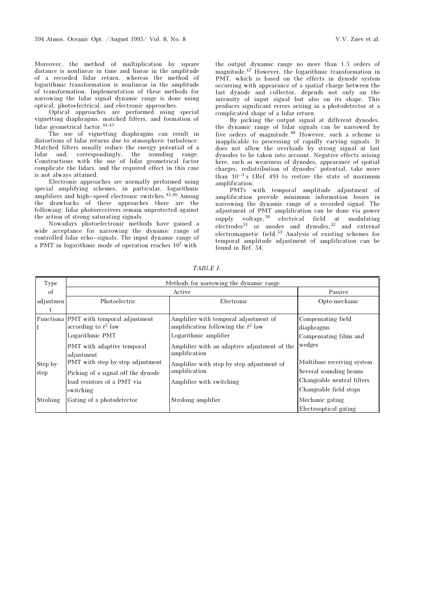Moreover, the method of multiplication by square distance is nonlinear in time and linear in the amplitude of a recorded lidar return, whereas the method of logarithmic transformation is nonlinear in the amplitude of transformation. Implementation of these methods for narrowing the lidar signal dynamic range is done using optical, photoelectrical, and electronic approaches.

Optical approaches are performed using special vignetting diaphragms, matched filters, and formation of lidar geometrical factor.44,45

The use of vignetting diaphragms can result in distortions of lidar returns due to atmospheric turbulence. Matched filters usually reduce the energy potential of a lidar and, correspondingly, the sounding range. Constructions with the use of lidar geometrical factor complicate the lidars, and the required effect in this case is not always attained.

Electronic approaches are normally performed using special amplifying schemes, in particular, logarithmic amplifiers and high–speed electronic switches.42,46 Among the drawbacks of these approaches there are the following: lidar photoreceivers remain unprotected against the action of strong saturating signals.

Nowadays photoelectronic methods have gained a wide acceptance for narrowing the dynamic range of controlled lidar echo–signals. The input dynamic range of a PMT in logarithmic mode of operation reaches 107 with

the output dynamic range no more than 1.5 orders of magnitude.47 However, the logarithmic transformation in PMT, which is based on the effects in dynode system occurring with appearance of a spatial charge between the last dynode and collector, depends not only on the intensity of input signal but also on its shape. This produces significant errors arising in a photodetector at a complicated shape of a lidar return.

By picking the output signal at different dynodes, the dynamic range of lidar signals can be narrowed by five orders of magnitude.48 However, such a scheme is inapplicable to processing of rapidly varying signals. It does not allow the overloads by strong signal at last dynodes to be taken into account. Negative effects arising here, such as weariness of dynodes, appearance of spatial charges, redistribution of dynodes' potential, take more than  $10^{-3}$  s (Ref. 49) to restore the state of maximum amplification.

PMTs with temporal amplitude adjustment of amplification provide minimum information losses in narrowing the dynamic range of a recorded signal. The adjustment of PMT amplification can be done via power supply voltage,  $50$  electrical field at modulating electrodes<sup>51</sup> or anodes and dynodes,<sup>52</sup> and external electromagnetic field.53 Analysis of existing schemes for temporal amplitude adjustment of amplification can be found in Ref. 54.

| Type      |                                          | Methods for narrowing the dynamic range                       |                            |
|-----------|------------------------------------------|---------------------------------------------------------------|----------------------------|
| οf        |                                          | Active                                                        | Passive                    |
| adjustmen | Photoelectric                            | Electronic                                                    | Opto-mechanic              |
|           |                                          |                                                               |                            |
|           | Functiona PMT with temporal adjustment   | Amplifier with temporal adjustment of                         | Compensating field         |
|           | according to $t^2$ law                   | amplification following the $t^2$ law                         | diaphragms                 |
|           | Logarithmic PMT                          | Logarithmic amplifier                                         | Compensating films and     |
|           | PMT with adaptive temporal<br>adjustment | Amplifier with an adaptive adjustment of the<br>amplification | wedges                     |
| Step-by-  | PMT with step-by-step adjustment         | Amplifier with step-by-step adjustment of                     | Multibase receiving system |
| step      | Picking of a signal off the dynode       | amplification                                                 | Several sounding beams     |
|           | load resistors of a PMT via              | Amplifier with switching                                      | Changeable neutral filters |
|           | switching                                |                                                               | Changeable field stops     |
| Strobing  | Gating of a photodetector                | Strobing amplifier                                            | Mechanic gating            |
|           |                                          |                                                               | Electrooptical gating      |

TABLE I.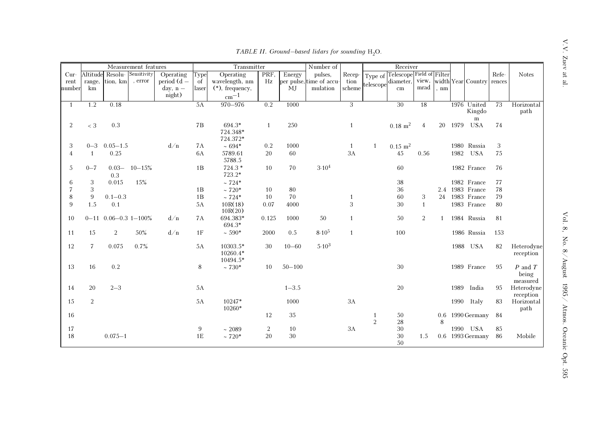|        |                          |                              | Measurement features |               |           | Transmitter       |                |            | Number of                |                |                | Receiver                  |                |              |      |                                 |       |              |
|--------|--------------------------|------------------------------|----------------------|---------------|-----------|-------------------|----------------|------------|--------------------------|----------------|----------------|---------------------------|----------------|--------------|------|---------------------------------|-------|--------------|
| $Cur-$ | Altitude                 | Resolu-                      | Sensitivity          | Operating     | Type      | Operating         | PRF,           | Energy     | pulses,                  | Recep-         | Type of        | Telescope Field of Filter |                |              |      |                                 | Refe- | <b>Notes</b> |
| rent   | range,                   | tion, km                     | , error              | period $(d -$ | of        | wavelength, nm    | Hz             |            | per pulse, time of accu- | tion           | telescope      | diameter,                 |                |              |      | view, width Year Country rences |       |              |
| number | km                       |                              |                      | $day, n -$    | laser     | $(*),$ frequency, |                | MI         | mulation                 | scheme         |                | cm                        | mrad           | , nm         |      |                                 |       |              |
|        |                          |                              |                      | night)        |           | $cm^{-1}$         |                |            |                          |                |                |                           |                |              |      |                                 |       |              |
| -1     | 1.2                      | 0.18                         |                      |               | 5A        | 970-976           | 0.2            | 1000       |                          | 3              |                | 30                        | 18             |              |      | 1976 United                     | 73    | Horizontal   |
|        |                          |                              |                      |               |           |                   |                |            |                          |                |                |                           |                |              |      | Kingdo                          |       | path         |
|        |                          |                              |                      |               |           |                   |                |            |                          |                |                |                           |                |              |      | ${\rm m}$                       |       |              |
| 2      | $< 3\,$                  | 0.3                          |                      |               | 7В        | 694.3*            | 1              | 250        |                          | 1              |                | $0.18 \; \mathrm{m}^2$    | $\overline{4}$ | 20           | 1979 | <b>USA</b>                      | 74    |              |
|        |                          |                              |                      |               |           | 724.348*          |                |            |                          |                |                |                           |                |              |      |                                 |       |              |
|        |                          |                              |                      |               |           | 724.372*          |                |            |                          |                |                |                           |                |              |      |                                 |       |              |
| 3      |                          | $0 - 3$ 0.05 $-1.5$          |                      | d/n           | 7A        | $~10.694*$        | 0.2            | 1000       |                          | $\overline{1}$ | 1              | $0.15 \; \mathrm{m}^2$    |                |              |      | 1980 Russia                     | 3     |              |
| 4      | $\mathbf{1}$             | 0.25                         |                      |               | 6A        | 5789.61<br>5788.5 | 20             | 60         |                          | 3A             |                | 45                        | 0.56           |              |      | 1982 USA                        | 75    |              |
| 5      | $0 - 7$                  |                              | $0.03 - 10 - 15%$    |               | 1B        | $724.3*$          | 10             | 70         | 3.10 <sup>4</sup>        |                |                | 60                        |                |              |      | 1982 France                     | 76    |              |
|        |                          | 0.3                          |                      |               |           | 723.2*            |                |            |                          |                |                |                           |                |              |      |                                 |       |              |
| 6      | 3                        | 0.015                        | 15%                  |               |           | $~124*$           |                |            |                          |                |                | 38                        |                |              |      | 1982 France                     | 77    |              |
|        | 3                        |                              |                      |               | 1B        | $~120*$           | 10             | 80         |                          |                |                | 36                        |                |              |      | 2.4 1983 France                 | 78    |              |
| 8      | 9                        | $0.1 - 0.3$                  |                      |               | 1B        | $~124*$           | 10             | 70         |                          |                |                | 60                        | 3              | 24           |      | 1983 France                     | 79    |              |
| 9      | 1.5                      | 0.1                          |                      |               | 5A        | 10R(18)           | 0.07           | 4000       |                          | 3              |                | 30                        | $\mathbf{1}$   |              |      | 1983 France                     | 80    |              |
|        |                          |                              |                      |               |           | 10R(20)           |                |            |                          |                |                |                           |                |              |      |                                 |       |              |
| 10     |                          | $0 - 11$ 0.06 - 0.3 1 - 100% |                      | d/n           | <b>7A</b> | 694.383*          | 0.125          | 1000       | 50                       | $\mathbf{1}$   |                | 50                        | $\overline{2}$ | $\mathbf{1}$ |      | 1984 Russia                     | 81    |              |
|        |                          |                              |                      |               |           | 694.3*            |                |            |                          |                |                |                           |                |              |      |                                 |       |              |
| 11     | 15                       | 2                            | $50\%$               | d/n           | 1F        | $~1590*$          | 2000           | 0.5        | $8.10^{5}$               | $\overline{1}$ |                | 100                       |                |              |      | 1986 Russia                     | 153   |              |
| 12     | $\overline{\phantom{a}}$ | 0.075                        | 0.7%                 |               | 5A        | 10303.5*          | 30             | $10 - 60$  | $5.10^{3}$               |                |                |                           |                |              |      | 1988 USA                        | 82    | Heterodyne   |
|        |                          |                              |                      |               |           | $10260.4*$        |                |            |                          |                |                |                           |                |              |      |                                 |       | reception    |
|        |                          |                              |                      |               |           | 10494.5*          |                |            |                          |                |                |                           |                |              |      |                                 |       |              |
| 13     | 16                       | 0.2                          |                      |               | 8         | $~1730*$          | 10             | $50 - 100$ |                          |                |                | $30\,$                    |                |              |      | 1989 France                     | 95    | $P$ and $T$  |
|        |                          |                              |                      |               |           |                   |                |            |                          |                |                |                           |                |              |      |                                 |       | being        |
|        |                          |                              |                      |               |           |                   |                |            |                          |                |                |                           |                |              |      |                                 |       | measured     |
| 14     | 20                       | $2 - 3$                      |                      |               | 5A        |                   |                | $1 - 3.5$  |                          |                |                | 20                        |                |              |      | 1989 India                      | 95    | Heterodyne   |
|        |                          |                              |                      |               |           |                   |                |            |                          |                |                |                           |                |              |      |                                 |       | reception    |
| 15     | 2                        |                              |                      |               | 5A        | 10247*            |                | 1000       |                          | 3A             |                |                           |                |              |      | 1990 Italy                      | 83    | Horizontal   |
|        |                          |                              |                      |               |           | 10260*            |                |            |                          |                |                |                           |                |              |      |                                 |       | path         |
| 16     |                          |                              |                      |               |           |                   | 12             | $35\,$     |                          |                | 1              | 50                        |                | 0.6          |      | 1990 Germany                    | 84    |              |
|        |                          |                              |                      |               |           |                   |                |            |                          |                | $\overline{2}$ | $28\,$                    |                | 8            |      |                                 |       |              |
| 17     |                          |                              |                      |               | 9         | ~12089            | $\overline{c}$ | 10         |                          | 3A             |                | 30                        |                |              |      | 1990 USA                        | 85    |              |
| 18     |                          | $0.075 - 1$                  |                      |               | 1E        | $~120*$           | 20             | 30         |                          |                |                | $30\,$                    | 1.5            |              |      | 0.6 1993 Germany                | 86    | Mobile       |
|        |                          |                              |                      |               |           |                   |                |            |                          |                |                | 50                        |                |              |      |                                 |       |              |

TABLE II. Ground–based lidars for sounding  $H_2O$ .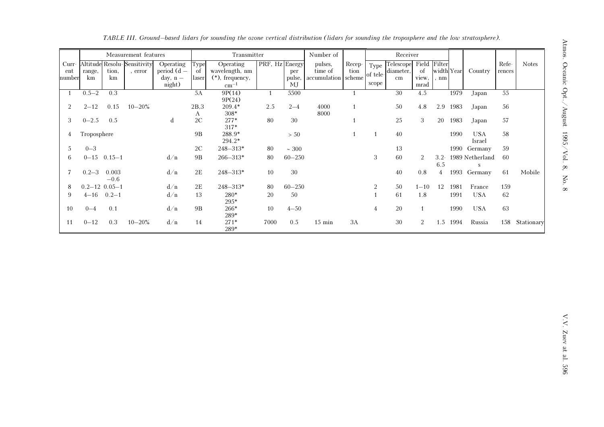|                          |                          |                 | Measurement features          |                                                    |                      | Transmitter                                                            |                |                     | Number of                                 |                |                           | Receiver                            |                              |                                       |      |                      |                 |              |
|--------------------------|--------------------------|-----------------|-------------------------------|----------------------------------------------------|----------------------|------------------------------------------------------------------------|----------------|---------------------|-------------------------------------------|----------------|---------------------------|-------------------------------------|------------------------------|---------------------------------------|------|----------------------|-----------------|--------------|
| $Curr-$<br>ent<br>number | Altitude<br>range,<br>km | tion,<br>km     | Resolu-Sensitivity<br>, error | Operating<br>period $(d -$<br>$day, n -$<br>night) | Type<br>-of<br>laser | Operating<br>wavelength, nm<br>$(*),$ frequency,<br>$\mathrm{cm}^{-1}$ | PRF, Hz Energy | per<br>pulse,<br>MJ | pulses,<br>time of<br>accumulation scheme | Recep-<br>tion | Type<br>of tele-<br>scope | <b>Telescope</b><br>diameter,<br>cm | Field<br>of<br>view.<br>mrad | Filter<br>width Year<br>$. \text{nm}$ |      | Country              | Refe-<br>rences | <b>Notes</b> |
|                          | $0.5 - 2$                | 0.3             |                               |                                                    | 5A                   | 9P(14)<br>9P(24)                                                       |                | 5500                |                                           |                |                           | 30                                  | 4.5                          |                                       | 1979 | Japan                | 55              |              |
| 2                        | $2 - 12$                 | 0.15            | $10 - 20\%$                   |                                                    | 2B,3<br>A            | $209.4*$<br>308*                                                       | 2.5            | $2 - 4$             | 4000<br>8000                              |                |                           | 50                                  | 4.8                          | 2.9                                   | 1983 | Japan                | 56              |              |
| 3                        | $0 - 2.5$                | 0.5             |                               | d                                                  | 2C                   | $277*$<br>$317*$                                                       | 80             | 30                  |                                           |                |                           | 25                                  | 3                            | 20                                    | 1983 | Japan                | 57              |              |
| 4                        | Troposphere              |                 |                               |                                                    | <b>9B</b>            | 288.9*<br>294.2*                                                       |                | > 50                |                                           |                |                           | 40                                  |                              |                                       | 1990 | <b>USA</b><br>Israel | 58              |              |
| .5                       | $0 - 3$                  |                 |                               |                                                    | 2C                   | $248 - 313*$                                                           | 80             | $\sim 300$          |                                           |                |                           | 13                                  |                              |                                       |      | 1990 Germany         | 59              |              |
| 6                        |                          | $0 - 15$ 0.15-1 |                               | d/n                                                | 9B                   | $266 - 313*$                                                           | 80             | $60 - 250$          |                                           |                | 3                         | 60                                  | $\overline{2}$               | $3.2 -$<br>6.5                        |      | 1989 Netherland<br>S | -60             |              |
|                          | $0.2 - 3$                | 0.003<br>$-0.6$ |                               | d/n                                                | 2E                   | $248 - 313*$                                                           | 10             | 30                  |                                           |                |                           | 40                                  | 0.8                          | 4                                     |      | 1993 Germany         | 61              | Mobile       |
| 8                        | $0.2 - 12$ $0.05 - 1$    |                 |                               | d/n                                                | 2E                   | $248 - 313*$                                                           | 80             | $60 - 250$          |                                           |                | $\overline{2}$            | 50                                  | $1 - 10$                     | 12                                    | 1981 | France               | 159             |              |
| 9                        | $4 - 16$ 0.2-1           |                 |                               | d/n                                                | 13                   | $280*$<br>$295*$                                                       | 20             | 50                  |                                           |                |                           | 61                                  | 1.8                          |                                       | 1991 | <b>USA</b>           | 62              |              |
| 10                       | $0 - 4$                  | 0.1             |                               | d/n                                                | <b>9B</b>            | 266*<br>289*                                                           | 10             | $4 - 50$            |                                           |                | $\overline{4}$            | 20                                  |                              |                                       | 1990 | <b>USA</b>           | 63              |              |
| 11                       | $0 - 12$                 | 0.3             | $10 - 20\%$                   | d/n                                                | 14                   | $271*$<br>289*                                                         | 7000           | 0.5                 | $15 \text{ min}$                          | 3A             |                           | 30                                  | $\overline{2}$               | 1.5                                   | 1994 | Russia               | 158             | Stationary   |

TABLE III. Ground–based lidars for sounding the ozone vertical distribution (lidars for sounding the troposphere and the low stratosphere).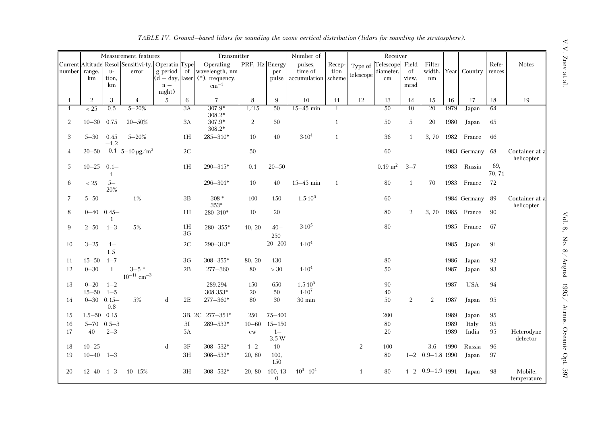|                |                               |                | Measurement features                     |                      |               | Transmitter                                          |                |                           | Number of                      |              |                | Receiver               |                |                        |      |                 |               |                              |
|----------------|-------------------------------|----------------|------------------------------------------|----------------------|---------------|------------------------------------------------------|----------------|---------------------------|--------------------------------|--------------|----------------|------------------------|----------------|------------------------|------|-----------------|---------------|------------------------------|
|                |                               |                | Current Altitude Resol Sensitivi-ty,     | <b>Operatin</b> Type |               | Operating                                            | PRF, Hz Energy |                           | pulses,                        | Recep-       | Type of        | Telescope              | Field          | Filter                 |      |                 | Refe-         | <b>Notes</b>                 |
| number         | range,                        | $\mathbf{u}^-$ | error                                    | g period             | of            | wavelength, nm                                       |                | per                       | time of                        | tion         | telescope      | diameter,              | of             | width,                 | Year | Country         | rences        |                              |
|                | km                            | tion,<br>km    |                                          | $\mathbf{n}$ $-$     |               | $(d - day, laser   (*), frequency,$<br>$\rm cm^{-1}$ |                | pulse                     | accumulation                   | scheme       |                | $\,\mathrm{cm}$        | view.<br>mrad  | nm                     |      |                 |               |                              |
|                |                               |                |                                          | night)               |               |                                                      |                |                           |                                |              |                |                        |                |                        |      |                 |               |                              |
| $\overline{1}$ | $\overline{2}$                | 3              | $\overline{4}$                           | .5                   | 6             | $\overline{7}$                                       | 8              | 9                         | 10                             | 11           | 12             | 13                     | 14             | 15                     | 16   | 17              | 18            | 19                           |
| $\mathbf{1}$   | $\overline{<25}$              | 0.5            | $5 - 20%$                                |                      | 3A            | $307.9*$<br>308.2*                                   | 1/15           | 50                        | $15 - 45$ min                  | 1            |                | 50                     | 10             | 20                     | 1979 | Japan           | 64            |                              |
| 2              | $10 - 30$                     | 0.75           | $20 - 50\%$                              |                      | 3A            | 307.9*<br>$308.2*$                                   | 2              | 50                        |                                | $\mathbf{1}$ |                | 50                     | 5              | 20                     | 1980 | Japan           | 65            |                              |
| 3              | $5 - 30$ 0.45                 | $-1.2$         | $5 - 20%$                                |                      | 1H            | $285 - 310*$                                         | 10             | 40                        | 3.10 <sup>4</sup>              | $\mathbf{1}$ |                | 36                     | 1              | 3, 70                  | 1982 | France          | 66            |                              |
| 4              | $20 - 50$                     |                | 0.1 5–10 $\mu$ g/m <sup>3</sup>          |                      | $2\mathrm{C}$ |                                                      | 50             |                           |                                |              |                | $60\,$                 |                |                        |      | 1983 Germany 68 |               | Container at a<br>helicopter |
| 5              | $10 - 25$ 0.1-                | 1              |                                          |                      | 1H            | $290 - 315*$                                         | 0.1            | $20 - 50$                 |                                |              |                | $0.19 \; \mathrm{m}^2$ | $3 - 7$        |                        | 1983 | Russia          | 69,<br>70, 71 |                              |
| 6              | $<25\,$                       | $5-$<br>20%    |                                          |                      |               | $296 - 301*$                                         | 10             | 40                        | $15 - 45$ min                  | -1           |                | 80                     | 1              | 70                     | 1983 | France          | 72            |                              |
| $\overline{7}$ | $5 - 50$                      |                | $1\%$                                    |                      | $3\mathrm{B}$ | $308 *$<br>353*                                      | 100            | 150                       | $1.5 \cdot 10^6$               |              |                | $60\,$                 |                |                        |      | 1984 Germany 89 |               | Container at a<br>helicopter |
| 8              | $0 - 40$ $0.45 -$             | $\overline{1}$ |                                          |                      | 1H            | 280-310*                                             | 10             | 20                        |                                |              |                | 80                     | $\overline{2}$ | 3, 70                  |      | 1985 France     | 90            |                              |
| 9              | $2 - 50$                      | $1 - 3$        | $5\%$                                    |                      | 1H<br>3G      | $280 - 355*$                                         | 10, 20         | $40-$<br>250              | $3.10^{5}$                     |              |                | $80\,$                 |                |                        | 1985 | France          | 67            |                              |
| 10             | $3 - 25$                      | $1-$<br>1.5    |                                          |                      | $2\mathrm{C}$ | $290 - 313*$                                         |                | $20 - 200$                | $1.10^{4}$                     |              |                |                        |                |                        | 1985 | Japan           | 91            |                              |
| 11             | $15 - 50$ $1 - 7$             |                |                                          |                      | 3G            | $308 - 355*$                                         | 80, 20         | 130                       |                                |              |                | 80                     |                |                        | 1986 | Japan           | 92            |                              |
| 12             | $0 - 30$                      | $\overline{1}$ | $3 - 5$ *<br>$10^{-11}$ cm <sup>-3</sup> |                      | 2B            | $277 - 360$                                          | 80             | $>30\,$                   | 1.10 <sup>4</sup>              |              |                | 50                     |                |                        | 1987 | Japan           | 93            |                              |
| 13             | $0 - 20$<br>$15 - 50$ $1 - 5$ | $1 - 2$        |                                          |                      |               | 289.294<br>308.353*                                  | 150<br>20      | 650<br>50                 | $1.5 \cdot 10^5$<br>$1.10^{7}$ |              |                | $90\,$<br>$40\,$       |                |                        | 1987 | <b>USA</b>      | 94            |                              |
| 14             | $0 - 30$ 0.15-                | 0.8            | $5\%$                                    | d                    | 2E            | $277 - 360*$                                         | 80             | 30                        | $30 \text{ min}$               |              |                | 50                     | 2              | 2                      | 1987 | Japan           | 95            |                              |
| 15             | $1.5 - 50$ 0.15               |                |                                          |                      |               | 3B, 2C 277-351*                                      | 250            | $75 - 400$                |                                |              |                | 200                    |                |                        | 1989 | Japan           | 95            |                              |
| 16             | $5 - 70$ $0.5 - 3$            |                |                                          |                      | 3I            | $289\text{--}532\text{*}$                            | $10 - 60$      | $15 - 150$                |                                |              |                | 80                     |                |                        | 1989 | Italy           | 95            |                              |
| 17             | 40                            | $2 - 3$        |                                          |                      | 5A            |                                                      | $\mathrm{cw}$  | $1 -$<br>3.5 W            |                                |              |                | 20                     |                |                        | 1989 | India           | 95            | Heterodyne<br>detector       |
| 18             | $10 - 25$                     |                |                                          | d                    | $3\mathrm{F}$ | $308 - 532*$                                         | $1 - 2$        | 10                        |                                |              | $\overline{2}$ | 100                    |                | 3.6                    | 1990 | Russia          | $96\,$        |                              |
| 19             | $10 - 40$ $1 - 3$             |                |                                          |                      | 3H            | $308 - 532*$                                         | 20, 80         | 100,<br>150               |                                |              |                | 80                     |                | $1 - 2$ 0.9 - 1.8 1990 |      | Japan           | $\rm 97$      |                              |
| 20             | $12 - 40$ $1 - 3$             |                | $10 - 15%$                               |                      | 3H            | $308 - 532*$                                         | 20, 80         | 100, 13<br>$\overline{0}$ | $10^3 - 10^4$                  |              | 1              | 80                     |                | $1 - 2$ 0.9 - 1.9 1991 |      | Japan           | 98            | Mobile,<br>temperature       |

TABLE IV. Ground–based lidars for sounding the ozone vertical distribution (lidars for sounding the stratosphere).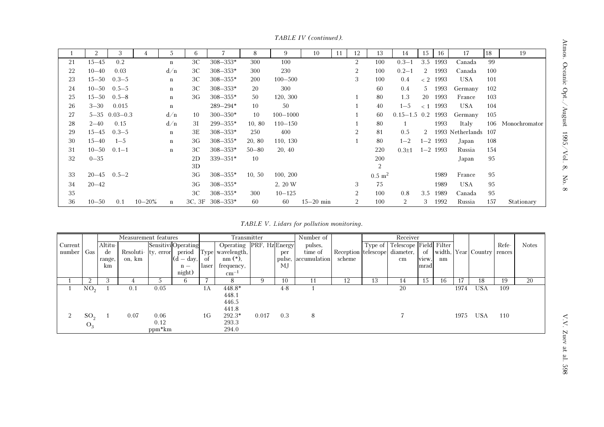|    | $\overline{2}$ | 3                     |            | 5           | 6  |                 | 8         | 9            | 10            | 11 | 12             | 13                    | 14               | 15             | 16           | 17                   | 18  | 19            |
|----|----------------|-----------------------|------------|-------------|----|-----------------|-----------|--------------|---------------|----|----------------|-----------------------|------------------|----------------|--------------|----------------------|-----|---------------|
| 21 | $15 - 45$      | 0.2                   |            | $\mathbf n$ | ЗC | $308 - 353*$    | 300       | 100          |               |    | $\overline{2}$ | 100                   | $0.3 - 1$        | 3.5            | 1993         | Canada               | 99  |               |
| 22 | $10 - 40$      | 0.03                  |            | d/n         | ЗC | $308 - 353*$    | 300       | 230          |               |    | $\overline{2}$ | 100                   | $0.2 - 1$        | 2              | 1993         | Canada               | 100 |               |
| 23 |                | $15 - 50$ $0.3 - 5$   |            | $\mathbf n$ | ЗC | $308 - 355*$    | 200       | $100 - 500$  |               |    | 3              | 100                   | 0.4              |                | $< 2$ 1993   | <b>USA</b>           | 101 |               |
| 24 |                | $10 - 50$ $0.5 - 5$   |            | $\bf n$     | ЗC | $308 - 353*$    | 20        | 300          |               |    |                | 60                    | 0.4              | 5 <sup>7</sup> | 1993         | Germany              | 102 |               |
| 25 |                | $15 - 50$ $0.5 - 8$   |            | $\bf n$     | 3G | $308 - 355*$    | 50        | 120, 300     |               |    |                | 80                    | 1.3              | 20             | 1993         | France               | 103 |               |
| 26 | $3 - 30$       | 0.015                 |            | $\bf n$     |    | $289 - 294*$    | 10        | 50           |               |    |                | 40                    | $1 - 5$          |                | $< 1$ 1993   | <b>USA</b>           | 104 |               |
| 27 |                | $5 - 35$ $0.03 - 0.3$ |            | d/n         | 10 | $300 - 350*$    | 10        | $100 - 1000$ |               |    |                | 60                    | $0.15 - 1.5$ 0.2 |                | 1993         | Germany              | 105 |               |
| 28 | $2 - 40$       | 0.15                  |            | d/n         | ЗI | $299 - 355*$    | 10, 80    | $110 - 150$  |               |    |                | 80                    |                  |                | 1993         | Italy                | 106 | Monochromator |
| 29 | $15 - 45$      | $0.3 - 5$             |            | $\mathbf n$ | 3E | $308 - 353*$    | 250       | 400          |               |    | 2              | 81                    | 0.5              | $\overline{2}$ |              | 1993 Netherlands 107 |     |               |
| 30 | $15 - 40$      | $1 - 5$               |            | $\mathbf n$ | 3G | $308 - 355*$    | 20, 80    | 110, 130     |               |    |                | 80                    | $1 - 2$          |                | $1 - 2$ 1993 | Japan                | 108 |               |
| 31 | $10 - 50$      | $0.1 - 1$             |            | $\bf n$     | ЗC | $308 - 353*$    | $50 - 80$ | 20, 40       |               |    |                | 220                   | $0.3 \pm 1$      |                | $1 - 2$ 1993 | Russia               | 154 |               |
| 32 | $0 - 35$       |                       |            |             | 2D | $339 - 351*$    | 10        |              |               |    |                | 200                   |                  |                |              | Japan                | 95  |               |
|    |                |                       |            |             | 3D |                 |           |              |               |    |                | 2                     |                  |                |              |                      |     |               |
| 33 |                | $20 - 45$ $0.5 - 2$   |            |             | 3G | $308 - 355*$    | 10, 50    | 100, 200     |               |    |                | $0.5 \; \mathrm{m}^2$ |                  |                | 1989         | France               | 95  |               |
| 34 | $20 - 42$      |                       |            |             | 3G | $308 - 355*$    |           | 2, 20 W      |               |    | 3              | 75                    |                  |                | 1989         | <b>USA</b>           | 95  |               |
| 35 |                |                       |            |             | ЗC | $308 - 355*$    | 300       | $10 - 125$   |               |    | $\overline{2}$ | 100                   | 0.8              | 3.5            | 1989         | Canada               | 95  |               |
| 36 | $10 - 50$      | 0.1                   | $10 - 20%$ | $\bf n$     |    | 3C, 3F 308-353* | 60        | 60           | $15 - 20$ min |    |                | 100                   | 2                | 3              | 1992         | Russia               | 157 | Stationary    |

TABLE IV (continued).

TABLE V. Lidars for pollution monitoring.

|         |                 |         | Measurement features |          |                     |       | Transmitter                    |       |       | Number of           |        |    | Receiver                             |       |    |      |                               |       |              |
|---------|-----------------|---------|----------------------|----------|---------------------|-------|--------------------------------|-------|-------|---------------------|--------|----|--------------------------------------|-------|----|------|-------------------------------|-------|--------------|
| Current |                 | Altitu- |                      |          | Sensitivi Operating |       | Operating PRF, Hz Energy       |       |       | pulses,             |        |    | Type of   Telescope   Field   Filter |       |    |      |                               | Refe- | <b>Notes</b> |
| number  | Gas             | de      | Resoluti- ty, error  |          | period              |       | Type wavelength,               |       | per   | time of             |        |    | Reception telescope diameter,        |       |    |      | of width, Year Country rences |       |              |
|         |                 | range,  | on, km               |          | $(d - day,$         | of    | $nm$ $(*),$                    |       |       | pulse, accumulation | scheme |    | $\,\mathrm{cm}$                      | view. | nm |      |                               |       |              |
|         |                 | km      |                      |          | $n -$<br>night)     | laser | frequency,<br>$\text{cm}^{-1}$ |       | МJ    |                     |        |    |                                      | mrad  |    |      |                               |       |              |
|         | 2               | 3       |                      |          | 6.                  |       | 8                              | 9     | 10    |                     | 12     | 13 | 14                                   | 15    | 16 | 17   | 18                            | 19    | 20           |
|         | NO <sub>2</sub> |         | 0.1                  | 0.05     |                     | 1A    | 448.8*                         |       | $4-8$ |                     |        |    | 20                                   |       |    | 1974 | USA                           | 109   |              |
|         |                 |         |                      |          |                     |       | 448.1                          |       |       |                     |        |    |                                      |       |    |      |                               |       |              |
|         |                 |         |                      |          |                     |       | 446.5                          |       |       |                     |        |    |                                      |       |    |      |                               |       |              |
|         |                 |         |                      |          |                     |       | 441.8                          |       |       |                     |        |    |                                      |       |    |      |                               |       |              |
|         | SO <sub>2</sub> |         | 0.07                 | 0.06     |                     | 1G    | $292.3*$                       | 0.017 | 0.3   | 8                   |        |    |                                      |       |    | 1975 | <b>USA</b>                    | 110   |              |
|         | $O_3$           |         |                      | 0.12     |                     |       | 293.3                          |       |       |                     |        |    |                                      |       |    |      |                               |       |              |
|         |                 |         |                      | $ppm*km$ |                     |       | 294.0                          |       |       |                     |        |    |                                      |       |    |      |                               |       |              |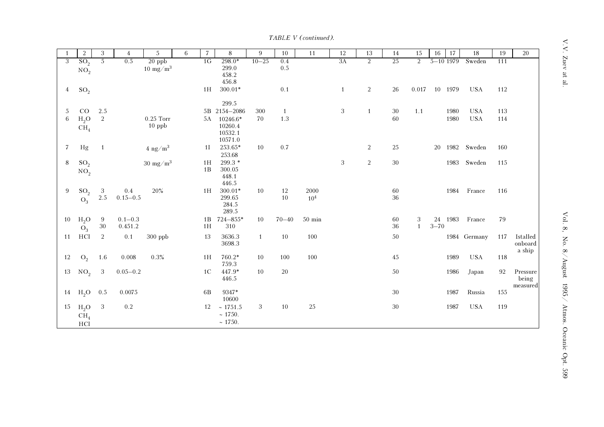TABLE V (continued).

|                | $\overline{2}$                     | 3              | $\overline{4}$          | $\sqrt{5}$                 | 6 | $\overline{7}$ | 8                                         | 9            | 10        | 11                      | 12           | 13             | 14       | 15                | 16             | 17      | 18                | 19  | 20                            |
|----------------|------------------------------------|----------------|-------------------------|----------------------------|---|----------------|-------------------------------------------|--------------|-----------|-------------------------|--------------|----------------|----------|-------------------|----------------|---------|-------------------|-----|-------------------------------|
| 3              | SO <sub>2</sub>                    | $\overline{5}$ | 0.5                     | $20$ ppb                   |   | 1G             | $298.0*$                                  | $10 - 25$    | 0.4       |                         | 3A           | $\overline{2}$ | 25       | $\overline{2}$    | $5 - 10$ 1979  |         | Sweden            | 111 |                               |
|                | NO <sub>2</sub>                    |                |                         | $10~{\rm mg/m^3}$          |   |                | 299.0<br>458.2<br>456.8                   |              | 0.5       |                         |              |                |          |                   |                |         |                   |     |                               |
| $\overline{4}$ | $SO_2$                             |                |                         |                            |   | 1H             | $300.01*$<br>299.5                        |              | 0.1       |                         | $\mathbf{1}$ | $\sqrt{2}$     | $26\,$   | 0.017             |                | 10 1979 | <b>USA</b>        | 112 |                               |
| -5             | CO                                 | 2.5            |                         |                            |   |                | 5B 2154-2086                              | 300          | 1         |                         | $\,3$        | $\mathbf{1}$   | $30\,$   | $1.1$             |                | 1980    | <b>USA</b>        | 113 |                               |
| 6              | $\rm H_2O$<br>CH <sub>4</sub>      | $\sqrt{2}$     |                         | $0.25$ Torr<br>$10$ ppb    |   | 5A             | 10246.6*<br>10260.4<br>10532.1<br>10571.0 | 70           | 1.3       |                         |              |                | $60\,$   |                   |                | 1980    | <b>USA</b>        | 114 |                               |
| $\overline{7}$ | Hg                                 | $\mathbf{1}$   |                         | $4$ ng/m <sup>3</sup>      |   | 1 <sup>I</sup> | 253.65*<br>253.68                         | 10           | 0.7       |                         |              | 2              | 25       |                   | 20             |         | 1982 Sweden       | 160 |                               |
| 8              | SO <sub>2</sub><br>NO <sub>2</sub> |                |                         | $30 \text{ mg}/\text{m}^3$ |   | 1H<br>1B       | 299.3 *<br>300.05<br>448.1<br>446.5       |              |           |                         | $\sqrt{3}$   | $\overline{2}$ | $30\,$   |                   |                | 1983    | Sweden            | 115 |                               |
| 9              | SO <sub>2</sub><br>$O_3$           | 3<br>2.5       | $0.4\,$<br>$0.15 - 0.5$ | 20%                        |   | 1H             | $300.01*$<br>299.65<br>284.5<br>289.5     | 10           | 12<br>10  | 2000<br>10 <sup>4</sup> |              |                | 60<br>36 |                   |                | 1984    | France            | 116 |                               |
| 10             | $H_2O$<br>$O_3$                    | 9<br>$30\,$    | $0.1 - 0.3$<br>0.451.2  |                            |   | 1B<br>1H       | $724 - 855*$<br>310                       | 10           | $70 - 40$ | $50 \text{ min}$        |              |                | 60<br>36 | 3<br>$\mathbf{1}$ | 24<br>$3 - 70$ | 1983    | France            | 79  |                               |
| 11             | HCl                                | 2              | 0.1                     | 300 ppb                    |   | 13             | 3636.3<br>3698.3                          | $\mathbf{1}$ | 10        | 100                     |              |                | 50       |                   |                |         | 1984 Germany      | 117 | Istalled<br>onboard<br>a ship |
| 12             | O <sub>2</sub>                     | 1.6            | 0.008                   | 0.3%                       |   | 1H             | $760.2*$<br>759.3                         | 10           | 100       | 100                     |              |                | 45       |                   |                | 1989    | <b>USA</b>        | 118 |                               |
| 13             | NO <sub>2</sub>                    | $\sqrt{3}$     | $0.05 - 0.2$            |                            |   | 1 <sup>C</sup> | $447.9*$<br>446.5                         | 10           | 20        |                         |              |                | $50\,$   |                   |                | 1986    | Japan             | 92  | Pressure<br>being<br>measured |
| 14             | $H_2O$                             | 0.5            | 0.0075                  |                            |   | 6B             | 9347*<br>10600                            |              |           |                         |              |                | $30\,$   |                   |                | 1987    | Russia            | 155 |                               |
| 15             | $H_2O$<br>CH <sub>4</sub><br>HCl   | $\sqrt{3}$     | 0.2                     |                            |   | 12             | $\sim 1751.5$<br>~1750.<br>~1750.         | $\,3$        | 10        | $25\,$                  |              |                | $30\,$   |                   |                | 1987    | $_{\mathrm{USA}}$ | 119 |                               |

 $V.V.$  Zuev at al.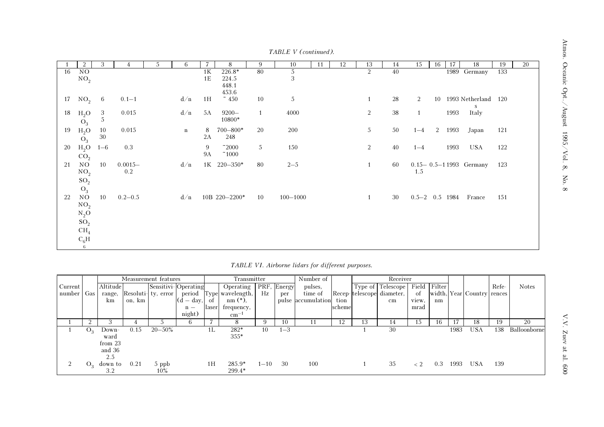|    | 2                        | 3       |             | 5 | 6            |           | 8                    | 9  | 10           | 11 | 12 | 13 | 14 | 15                 | 16 | 17     | 18                           | 19  | 20 |
|----|--------------------------|---------|-------------|---|--------------|-----------|----------------------|----|--------------|----|----|----|----|--------------------|----|--------|------------------------------|-----|----|
| 16 | NO                       |         |             |   |              | 1K        | $226.8*$             | 80 | $rac{5}{3}$  |    |    | 2  | 40 |                    |    |        | 1989 Germany                 | 133 |    |
|    | NO <sub>2</sub>          |         |             |   |              | 1E        | 224.5                |    |              |    |    |    |    |                    |    |        |                              |     |    |
|    |                          |         |             |   |              |           | 448.1<br>453.6       |    |              |    |    |    |    |                    |    |        |                              |     |    |
| 17 | $NO_2$ 6                 |         | $0.1 - 1$   |   | d/n          | 1H        | $~\tilde{}~$ 450     | 10 | $\sqrt{5}$   |    |    | 1  | 28 | 2                  |    |        | 10 1993 Netherland 120<br>S  |     |    |
| 18 | $H_2O$                   | 3<br>5  | 0.015       |   | d/n          | 5A        | $9200 -$<br>$10800*$ | 1  | 4000         |    |    | 2  | 38 | $\mathbf{1}$       |    | 1993   | Italy                        |     |    |
|    | ${\cal O}_3$             |         |             |   |              |           |                      |    |              |    |    |    |    |                    |    |        |                              |     |    |
| 19 | $H_2O$                   | 10      | 0.015       |   | $\mathbf{n}$ | 8         | $700 - 800*$         | 20 | 200          |    |    | 5  | 50 | $1 - 4$            |    | 2 1993 | Japan                        | 121 |    |
|    | $O_3$                    | $30\,$  |             |   |              | 2A        | 248                  |    |              |    |    |    |    |                    |    |        |                              |     |    |
| 20 | $H_2O$                   | $1 - 6$ | 0.3         |   |              | 9         | $\sim$ 2000          | 5  | 150          |    |    | 2  | 40 | $1 - 4$            |    | 1993   | USA                          | 122 |    |
|    | CO <sub>2</sub>          |         |             |   |              | <b>9A</b> | ~1000                |    |              |    |    |    |    |                    |    |        |                              |     |    |
| 21 | NO                       | 10      | $0.0015-$   |   | d/n          |           | 1K 220-350*          | 80 | $2 - 5$      |    |    | 1  | 60 |                    |    |        | $0.15 - 0.5 - 11993$ Germany | 123 |    |
|    | NO <sub>2</sub>          |         | $0.2\,$     |   |              |           |                      |    |              |    |    |    |    | 1.5                |    |        |                              |     |    |
|    | SO <sub>2</sub>          |         |             |   |              |           |                      |    |              |    |    |    |    |                    |    |        |                              |     |    |
|    |                          |         |             |   |              |           |                      |    |              |    |    |    |    |                    |    |        |                              |     |    |
|    | $O_3$                    |         |             |   |              |           |                      |    |              |    |    |    |    |                    |    |        |                              |     |    |
| 22 | NO                       | 10      | $0.2 - 0.5$ |   | d/n          |           | 10B 220-2200*        | 10 | $100 - 1000$ |    |    | 1  | 30 | $0.5 - 2$ 0.5 1984 |    |        | France                       | 151 |    |
|    | $\mathrm{NO}_2$          |         |             |   |              |           |                      |    |              |    |    |    |    |                    |    |        |                              |     |    |
|    | $\mathrm{N}_2\mathrm{O}$ |         |             |   |              |           |                      |    |              |    |    |    |    |                    |    |        |                              |     |    |
|    | $SO_2$                   |         |             |   |              |           |                      |    |              |    |    |    |    |                    |    |        |                              |     |    |
|    | $\mathrm{CH}_4$          |         |             |   |              |           |                      |    |              |    |    |    |    |                    |    |        |                              |     |    |
|    | $\rm C_6H$               |         |             |   |              |           |                      |    |              |    |    |    |    |                    |    |        |                              |     |    |
|    | 6                        |         |             |   |              |           |                      |    |              |    |    |    |    |                    |    |        |                              |     |    |

TABLE V (continued).

|  | TABLE VI. Airborne lidars for different purposes. |  |  |  |
|--|---------------------------------------------------|--|--|--|
|--|---------------------------------------------------|--|--|--|

|              |    |          |        | Measurement features |                     |       | Transmitter      |          |             | Number of          |        |    | Receiver                  |       |              |      |                            |       |              |
|--------------|----|----------|--------|----------------------|---------------------|-------|------------------|----------|-------------|--------------------|--------|----|---------------------------|-------|--------------|------|----------------------------|-------|--------------|
| Current      |    | Altitude |        |                      | Sensitivi-Operating |       | Operating        |          | PRF, Energy | pulses,            |        |    | Type of Telescope         |       | Field Filter |      |                            | Refe- | <b>Notes</b> |
| number   Gas |    | range,   |        | Resoluti- ty, error  | period              | Type  | wavelength,      | Hz       | per         | time of            |        |    | Recep-telescope diameter, | of    |              |      | width, Year Country rences |       |              |
|              |    | km       | on, km |                      | l (d<br>$-$ day,    | οf    | $nm$ $(*)$ ,     |          |             | pulse accumulation | tion   |    | $\,\mathrm{cm}$           | view, | nm           |      |                            |       |              |
|              |    |          |        |                      | $n -$               | laser | frequency,       |          |             |                    | scheme |    |                           | mrad  |              |      |                            |       |              |
|              |    |          |        |                      | night)              |       | $\text{cm}^{-1}$ |          |             |                    |        |    |                           |       |              |      |                            |       |              |
|              |    | 3        |        |                      | 6                   |       | 8                |          | 10          |                    | 12.    | 13 | 14                        | 15    | 16           |      | 18                         | 19    | 20           |
|              | Ő, | Down-    | 0.15   | $20 - 50\%$          |                     | 1L    | 282*             | 10       | $1 - 3$     |                    |        |    | 30                        |       |              | 1983 | USA                        | 138   | Balloonborne |
|              |    | ward     |        |                      |                     |       | $355*$           |          |             |                    |        |    |                           |       |              |      |                            |       |              |
|              |    | from 23  |        |                      |                     |       |                  |          |             |                    |        |    |                           |       |              |      |                            |       |              |
|              |    | and 36   |        |                      |                     |       |                  |          |             |                    |        |    |                           |       |              |      |                            |       |              |
|              |    | 2.5      |        |                      |                     |       |                  |          |             |                    |        |    |                           |       |              |      |                            |       |              |
|              | Ő, | down to  | 0.21   | 5 ppb                |                     | 1H    | $285.9*$         | $1 - 10$ | 30          | 100                |        |    | 35                        | $<$ 2 | 0.3          | 1993 | <b>USA</b>                 | 139   |              |
|              |    | 3.2      |        | $10\%$               |                     |       | $299.4*$         |          |             |                    |        |    |                           |       |              |      |                            |       |              |

 $\mathbf{V}.\mathbf{V}.\mathbf{Z}$ uev at al. 600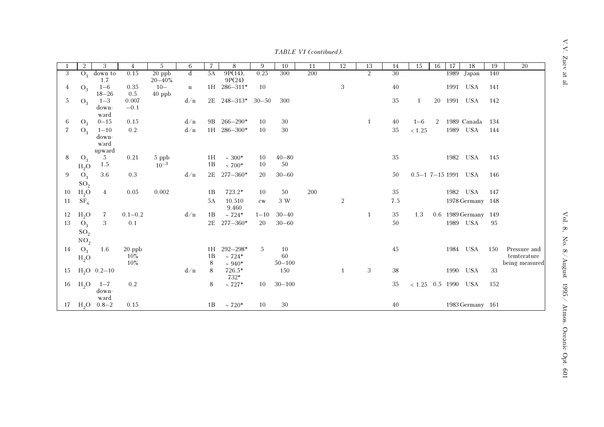$\mathbf{V}.\mathbf{V}.$  Zuev at al.

|  | TABLE VI (contibued). |
|--|-----------------------|
|--|-----------------------|

|    |                 | 3                | 4           | 5           | 6           |    | 8                 | 9        | 10         | 11  | 12           | 13             | 14  | 15                          | 16 | -17 | 18                      | 19  | $\overline{20}$ |
|----|-----------------|------------------|-------------|-------------|-------------|----|-------------------|----------|------------|-----|--------------|----------------|-----|-----------------------------|----|-----|-------------------------|-----|-----------------|
| 3  |                 | $O_3$ down to    | 0.15        | $20$ ppb    | $\mathbf d$ | 5A | $9P(14)$ ,        | 0.25     | 300        | 200 |              | $\overline{2}$ | 30  |                             |    |     | $\overline{1989}$ Japan | 140 |                 |
|    |                 | 1.7              |             | $20 - 40\%$ |             |    | 9P(24)            |          |            |     |              |                |     |                             |    |     |                         |     |                 |
| 4  | $O_3$           | $1 - 6$          | 0.35        | $10 -$      | $\mathbf n$ |    | 1H 286-311*       | 10       |            |     | $\sqrt{3}$   |                | 40  |                             |    |     | 1991 USA                | 141 |                 |
|    |                 | $18 - 26$        | 0.5         | $40$ ppb    |             |    |                   |          |            |     |              |                |     |                             |    |     |                         |     |                 |
| 5  | $O_3$           | $1 - 3$          | 0.007       |             | d/n         |    | 2E 248-313* 30-50 |          | 300        |     |              |                | 35  | 1                           |    |     | 20 1991 USA             | 142 |                 |
|    |                 | down-            | $-0.1$      |             |             |    |                   |          |            |     |              |                |     |                             |    |     |                         |     |                 |
|    |                 | ward             |             |             |             |    |                   |          |            |     |              |                |     |                             |    |     |                         |     |                 |
| 6  | $O_3$           | $0 - 15$         | 0.15        |             | d/n         |    | 9B 266-290*       | 10       | 30         |     |              | -1             | 40  | $1 - 6$                     | 2  |     | 1989 Canada             | 134 |                 |
| 7  | $O_3$           | $1 - 10$         | 0.2         |             | d/n         |    | 1H 286-300*       | 10       | 30         |     |              |                | 35  | < 1.25                      |    |     | 1989 USA                | 144 |                 |
|    |                 | $down-$          |             |             |             |    |                   |          |            |     |              |                |     |                             |    |     |                         |     |                 |
|    |                 | ward             |             |             |             |    |                   |          |            |     |              |                |     |                             |    |     |                         |     |                 |
|    |                 | upward           |             |             |             |    |                   |          |            |     |              |                |     |                             |    |     |                         |     |                 |
| 8  | $O_3$           | $5\overline{)}$  | 0.21        | 5 ppb       |             | 1H | $~100*$           | 10       | $40 - 80$  |     |              |                | 35  |                             |    |     | 1982 USA                | 145 |                 |
|    | $H_2O$          | 1.5              |             | $10^{-3}$   |             | 1B | $\sim 700^*$      | 10       | 50         |     |              |                |     |                             |    |     |                         |     |                 |
| 9  | $O_3$           | $3.6\,$          | 0.3         |             | d/n         |    | 2E 277-360*       | 20       | $30 - 60$  |     |              |                | 50  | $0.5 - 1$ 7-15 1991 USA     |    |     |                         | 146 |                 |
|    | SO <sub>2</sub> |                  |             |             |             |    |                   |          |            |     |              |                |     |                             |    |     |                         |     |                 |
| 10 | $H_2O$          | $\overline{4}$   | 0.05        | 0.002       |             | 1B | 723.2*            | 10       | 50         | 200 |              |                | 35  |                             |    |     | 1982 USA                | 147 |                 |
| 11 |                 |                  |             |             |             | 5A | 10.510            |          | 3 W        |     | 2            |                | 7.5 |                             |    |     | 1978 Germany 148        |     |                 |
|    | SF <sub>6</sub> |                  |             |             |             |    | 9.460             | cw       |            |     |              |                |     |                             |    |     |                         |     |                 |
| 12 | $H_2O$          | 7                | $0.1 - 0.2$ |             | d/n         | 1B | $~124*$           | $1 - 10$ | $30 - 40$  |     |              | -1             | 35  | 1.3                         |    |     | 0.6 1989 Germany 149    |     |                 |
| 13 |                 | 3                |             |             |             |    | 2E 277-360*       | 20       | $30 - 60$  |     |              |                | 50  |                             |    |     |                         | 95  |                 |
|    | $O_3$           |                  | 0.1         |             |             |    |                   |          |            |     |              |                |     |                             |    |     | 1989 USA                |     |                 |
|    | SO <sub>2</sub> |                  |             |             |             |    |                   |          |            |     |              |                |     |                             |    |     |                         |     |                 |
|    | NO <sub>2</sub> |                  |             |             |             |    |                   |          |            |     |              |                |     |                             |    |     |                         |     |                 |
| 14 | $O_3$           | 1.6              | $20$ ppb    |             |             | 1H | $292 - 298*$      | 5        | 10         |     |              |                | 45  |                             |    |     | 1984 USA                | 150 | Pressure and    |
|    | $H_2O$          |                  | $10\%$      |             |             | 1B | $~124*$           |          | 60         |     |              |                |     |                             |    |     |                         |     | temterature     |
|    |                 |                  | 10%         |             |             | 8  | $~1.940*$         |          | $50 - 100$ |     |              |                |     |                             |    |     |                         |     | being measured  |
|    |                 | 15 $H_2O$ 0.2-10 |             |             | d/n         | 8  | 726.5*            |          | 150        |     | $\mathbf{1}$ | 3              | 38  |                             |    |     | 1990 USA                | 33  |                 |
|    |                 |                  |             |             |             |    | 732*              |          |            |     |              |                |     |                             |    |     |                         |     |                 |
| 16 | $H_2O$          | $1 - 7$          | 0.2         |             |             | 8  | $\sim727*$        | 10       | $30 - 100$ |     |              |                | 35  | $< 1.25~~0.5~~1990~~\,$ USA |    |     |                         | 152 |                 |
|    |                 | down-            |             |             |             |    |                   |          |            |     |              |                |     |                             |    |     |                         |     |                 |
|    |                 | ward             |             |             |             |    |                   | 10       |            |     |              |                | 40  |                             |    |     |                         |     |                 |
|    |                 | 17 $H_2O$ 0.8-2  | 0.15        |             |             | 1B | $\sim 720*$       |          | 30         |     |              |                |     |                             |    |     | 1983 Germany 161        |     |                 |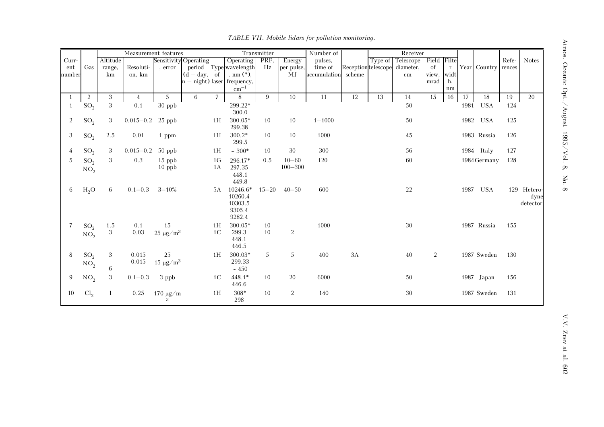|                |                 | Measurement features |                      |                           |                       |                | Transmitter                  | Number of |                | Receiver     |                    |         |                 |             |              |      |                     |       |              |
|----------------|-----------------|----------------------|----------------------|---------------------------|-----------------------|----------------|------------------------------|-----------|----------------|--------------|--------------------|---------|-----------------|-------------|--------------|------|---------------------|-------|--------------|
| $Curr-$        |                 | Altitude             |                      |                           | Sensitivity Operating |                | Operating                    | PRF,      | Energy         | pulses,      |                    | Type of | Telescope       | Field Filte |              |      |                     | Refe- | <b>Notes</b> |
| ent            | Gas             | range,               | Resoluti-            | , error                   | period                |                | Type wavelength              | Hz        | per pulse,     | time of      | Receptiontelescope |         | diameter,       | of          | $\mathbf{r}$ |      | Year Country rences |       |              |
| number         |                 | km                   | on, km               |                           | $(d - day,$           | of             | , nm $(*)$ ,                 |           | <b>MJ</b>      | accumulation | scheme             |         | $\,\mathrm{cm}$ | view.       | widt         |      |                     |       |              |
|                |                 |                      |                      |                           |                       |                | $n - night$ laser frequency, |           |                |              |                    |         |                 | mrad        | h,           |      |                     |       |              |
|                |                 |                      |                      |                           |                       |                | $\text{cm}^{-1}$             |           |                |              |                    |         |                 |             | $\rm{nm}$    |      |                     |       |              |
| $\overline{1}$ | $\sqrt{2}$      | 3                    | $\overline{4}$       | $5\phantom{.0}$           | 6                     | $\overline{7}$ | 8                            | 9         | 10             | 11           | 12                 | 13      | $14\,$          | 15          | 16           | 17   | 18                  | 19    | 20           |
|                | SO <sub>2</sub> | $\overline{3}$       | 0.1                  | 30 ppb                    |                       |                | 299.22*                      |           |                |              |                    |         | 50              |             |              | 1981 | <b>USA</b>          | 124   |              |
|                |                 |                      |                      |                           |                       |                | 300.0                        |           |                |              |                    |         |                 |             |              |      |                     |       |              |
| 2              | $SO_2$          | 3                    | $0.015 - 0.2$ 25 ppb |                           |                       | 1H             | $300.05*$                    | 10        | 10             | $1 - 1000$   |                    |         | 50              |             |              |      | 1982 USA            | 125   |              |
|                |                 |                      |                      |                           |                       |                | 299.38                       |           |                |              |                    |         |                 |             |              |      |                     |       |              |
| 3              | SO <sub>2</sub> | 2.5                  | 0.01                 | 1 ppm                     |                       | 1H             | $300.2*$                     | 10        | 10             | 1000         |                    |         | 45              |             |              |      | 1983 Russia         | 126   |              |
|                |                 |                      |                      |                           |                       |                | 299.5                        |           |                |              |                    |         |                 |             |              |      |                     |       |              |
| 4              | $SO_2$          | 3                    | $0.015 - 0.2$        | 50 ppb                    |                       | 1H             | $~100*$                      | 10        | 30             | $300\,$      |                    |         | 56              |             |              |      | 1984 Italy          | 127   |              |
| 5              | SO <sub>2</sub> | 3                    | 0.3                  | $15$ ppb                  |                       | 1 <sub>G</sub> | 296.17*                      | 0.5       | $10 - 60$      | 120          |                    |         | 60              |             |              |      | 1984 Germany        | 128   |              |
|                | $\mathrm{NO}_2$ |                      |                      | $10$ ppb                  |                       | 1A             | 297.35                       |           | $100 - 300$    |              |                    |         |                 |             |              |      |                     |       |              |
|                |                 |                      |                      |                           |                       |                | 448.1                        |           |                |              |                    |         |                 |             |              |      |                     |       |              |
|                |                 |                      |                      |                           |                       |                | 449.8                        |           |                |              |                    |         |                 |             |              |      |                     |       |              |
| 6              | $H_2O$          | 6                    | $0.1 - 0.3$          | $3 - 10\%$                |                       | 5A             | 10246.6*                     | $15 - 20$ | $40 - 50$      | 600          |                    |         | $22\,$          |             |              | 1987 | USA                 |       | 129 Hetero-  |
|                |                 |                      |                      |                           |                       |                | 10260.4                      |           |                |              |                    |         |                 |             |              |      |                     |       | dyne         |
|                |                 |                      |                      |                           |                       |                | 10303.5                      |           |                |              |                    |         |                 |             |              |      |                     |       | detector     |
|                |                 |                      |                      |                           |                       |                | 9305.4                       |           |                |              |                    |         |                 |             |              |      |                     |       |              |
|                |                 |                      |                      |                           |                       |                | 9282.4                       |           |                |              |                    |         |                 |             |              |      |                     |       |              |
| 7              | SO <sub>2</sub> | 1.5                  | 0.1                  | 15                        |                       | 1H             | 300.05*                      | 10        |                | 1000         |                    |         | 30              |             |              |      | 1987 Russia         | 155   |              |
|                | NO <sub>2</sub> | $\,3$                | 0.03                 | $25~\mu{\rm g}/{\rm m}^3$ |                       | 1 <sup>C</sup> | 299.3                        | 10        | $\overline{2}$ |              |                    |         |                 |             |              |      |                     |       |              |
|                |                 |                      |                      |                           |                       |                | 448.1                        |           |                |              |                    |         |                 |             |              |      |                     |       |              |
|                |                 |                      |                      |                           |                       |                | 446.5                        |           |                |              |                    |         |                 |             |              |      |                     |       |              |
| 8              | SO <sub>2</sub> | 3                    | 0.015                | 25                        |                       | 1H             | 300.03*                      | 5         | 5              | 400          | 3A                 |         | $40\,$          | 2           |              |      | 1987 Sweden         | 130   |              |
|                | $\mathrm{NO}_2$ |                      | 0.015                | $15 \ \mu g/m^3$          |                       |                | 299.33                       |           |                |              |                    |         |                 |             |              |      |                     |       |              |
|                |                 | 6                    |                      |                           |                       |                | $\sim 450$                   |           |                |              |                    |         |                 |             |              |      |                     |       |              |
| 9              | NO <sub>2</sub> | 3                    | $0.1 - 0.3$          | 3 ppb                     |                       | 1 <sup>C</sup> | $448.1*$                     | 10        | 20             | 6000         |                    |         | 50              |             |              |      | 1987 Japan          | 156   |              |
|                |                 |                      |                      |                           |                       |                | 446.6                        |           |                |              |                    |         |                 |             |              |      |                     |       |              |
| 10             | Cl <sub>2</sub> |                      | 0.25                 | 170 $\mu$ g/m             |                       | 1H             | $308*$                       | 10        | $\overline{2}$ | 140          |                    |         | 30              |             |              |      | 1987 Sweden         | 131   |              |
|                |                 |                      |                      |                           |                       |                | 298                          |           |                |              |                    |         |                 |             |              |      |                     |       |              |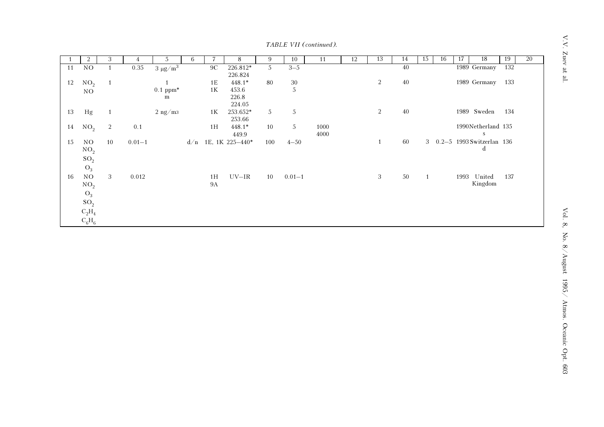$V.V.$  Zuev at al.

TABLE VII (continued).

|    | 2               | 3              | 4          | 5               | 6   |                | 8               | 9   | 10         | 11   | 12 | 13           | 14     | 15 | 16 | 17   | 18                          | 19  | $\overline{20}$ |
|----|-----------------|----------------|------------|-----------------|-----|----------------|-----------------|-----|------------|------|----|--------------|--------|----|----|------|-----------------------------|-----|-----------------|
| 11 | NO              |                | 0.35       | $3 \mu g/m^3$   |     | 9 <sup>C</sup> | 226.812*        | 5   | $3 - 5$    |      |    |              | 40     |    |    |      | 1989 Germany                | 132 |                 |
|    |                 |                |            |                 |     |                | 226.824         |     |            |      |    |              |        |    |    |      |                             |     |                 |
| 12 | NO <sub>2</sub> | $\mathbf{1}$   |            |                 |     | 1E             | $448.1*$        | 80  | $30\,$     |      |    | 2            | 40     |    |    |      | 1989 Germany                | 133 |                 |
|    | NO              |                |            | $0.1$ ppm*<br>m |     | $1\mathrm{K}$  | 453.6<br>226.8  |     | $\sqrt{5}$ |      |    |              |        |    |    |      |                             |     |                 |
|    |                 |                |            |                 |     |                | 224.05          |     |            |      |    |              |        |    |    |      |                             |     |                 |
| 13 | Hg              | 1              |            | $2$ ng/m $3$    |     | 1 <sub>K</sub> | 253.652*        | 5   | $\sqrt{5}$ |      |    | $\sqrt{2}$   | $40\,$ |    |    |      | 1989 Sweden                 | 134 |                 |
|    |                 |                |            |                 |     |                | 253.66          |     |            |      |    |              |        |    |    |      |                             |     |                 |
| 14 | NO <sub>2</sub> | $\overline{2}$ | 0.1        |                 |     | 1H             | $448.1*$        | 10  | 5          | 1000 |    |              |        |    |    |      | 1990Netherland 135          |     |                 |
|    |                 |                |            |                 |     |                | 449.9           |     |            | 4000 |    |              |        |    |    |      | S                           |     |                 |
| 15 | NO.             | 10             | $0.01 - 1$ |                 | d/n |                | 1E, 1K 225-440* | 100 | $4 - 50$   |      |    | $\mathbf{1}$ | 60     |    |    |      | 3 0.2-5 1993 Switzerlan 136 |     |                 |
|    | NO <sub>2</sub> |                |            |                 |     |                |                 |     |            |      |    |              |        |    |    |      | d                           |     |                 |
|    | $SO_2$          |                |            |                 |     |                |                 |     |            |      |    |              |        |    |    |      |                             |     |                 |
|    | $O_3$           |                |            |                 |     |                |                 |     |            |      |    |              |        |    |    |      |                             |     |                 |
| 16 | $_{\rm NO}$     | 3              | 0.012      |                 |     | 1H             | $UV-IR$         | 10  | $0.01 - 1$ |      |    | 3            | $50\,$ | 1  |    | 1993 | United                      | 137 |                 |
|    | NO <sub>2</sub> |                |            |                 |     | <b>9A</b>      |                 |     |            |      |    |              |        |    |    |      | Kingdom                     |     |                 |
|    | $O_3$           |                |            |                 |     |                |                 |     |            |      |    |              |        |    |    |      |                             |     |                 |
|    | $\mathrm{SO}_2$ |                |            |                 |     |                |                 |     |            |      |    |              |        |    |    |      |                             |     |                 |
|    | $C_2H_4$        |                |            |                 |     |                |                 |     |            |      |    |              |        |    |    |      |                             |     |                 |
|    | $C_6H_6$        |                |            |                 |     |                |                 |     |            |      |    |              |        |    |    |      |                             |     |                 |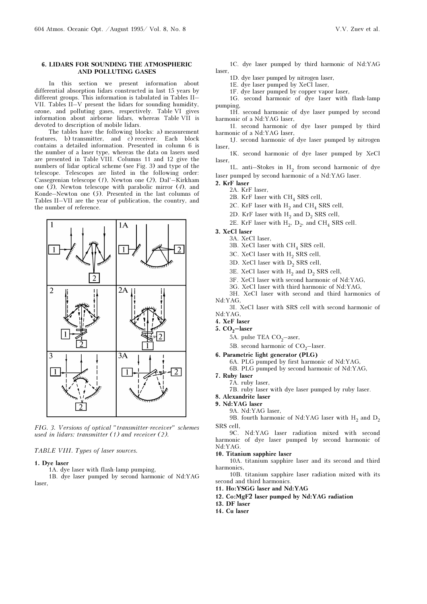## 6. LIDARS FOR SOUNDING THE ATMOSPHERIC AND POLLUTING GASES

In this section we present information about differential absorption lidars constructed in last 15 years by different groups. This information is tabulated in Tables II– VII. Tables II–V present the lidars for sounding humidity, ozone, and polluting gases, respectively. Table VI gives information about airborne lidars, whereas Table VII is devoted to description of mobile lidars.

The tables have the following blocks: a) measurement features, b) transmitter, and c) receiver. Each block contains a detailed information. Presented in column 6 is the number of a laser type, whereas the data on lasers used are presented in Table VIII. Columns 11 and 12 give the numbers of lidar optical scheme (see Fig. 3) and type of the telescope. Telescopes are listed in the following order: Cassegrenian telescope (1), Newton one (2), Dal'–Kirkham one  $(3)$ , Newton telescope with parabolic mirror  $(4)$ , and Konde–Newton one (5). Presented in the last columns of Tables II–VII are the year of publication, the country, and the number of reference.



FIG. 3. Versions of optical "transmitter-receiver" schemes used in lidars: transmitter (1) and receiver (2).

# TABLE VIII. Types of laser sources.

#### 1. Dye laser

1A. dye laser with flash-lamp pumping,

1B. dye laser pumped by second harmonic of Nd:YAG laser,

- 1C. dye laser pumped by third harmonic of Nd:YAG laser,
	- 1D. dye laser pumped by nitrogen laser,
	- 1E. dye laser pumped by XeCl laser,
	- 1F. dye laser pumped by copper vapor laser,

1G. second harmonic of dye laser with flash-lamp pumping,

1H. second harmonic of dye laser pumped by second harmonic of a Nd:YAG laser,

1I. second harmonic of dye laser pumped by third harmonic of a Nd:YAG laser,

1J. second harmonic of dye laser pumped by nitrogen laser,

1K. second harmonic of dye laser pumped by XeCl laser,

1L. anti-Stokes in  $H_2$  from second harmonic of dye laser pumped by second harmonic of a Nd:YAG laser.

- 2. KrF laser
	- 2A. KrF laser,
	- 2B. KrF laser with  $CH<sub>4</sub>$  SRS cell,

2C. KrF laser with  $H_2$  and CH<sub>4</sub> SRS cell,

- 2D. KrF laser with  $H_2$  and  $D_2$  SRS cell,
- 2E. KrF laser with  $H_2$ ,  $D_2$ , and CH<sub>4</sub> SRS cell.
- 3. XeCl laser
	- 3A. XeCl laser, 3B. XeCl laser with  $CH<sub>4</sub>$  SRS cell,
	-
	- 3C. XeCl laser with H<sub>2</sub> SRS cell,
	- 3D. XeCl laser with  $D_2$  SRS cell,
	- 3E. XeCl laser with  $H<sub>2</sub>$  and  $D<sub>2</sub>$  SRS cell,
	- 3F. XeCl laser with second harmonic of Nd:YAG,
	- 3G. XeCl laser with third harmonic of Nd:YAG,
- 3H. XeCl laser with second and third harmonics of Nd:YAG,
- 3I. XeCl laser with SRS cell with second harmonic of Nd:YAG,
- 4. XeF laser
- 5.  $CO<sub>2</sub>$ -laser
	- 5A. pulse TEA  $CO<sub>2</sub>$ -aser,
	- 5B. second harmonic of  $CO<sub>2</sub>$ -laser.
- 6. Parametric light generator (PLG)
	- 6A. PLG pumped by first harmonic of Nd:YAG,
	- 6B. PLG pumped by second harmonic of Nd:YAG,
- 7. Ruby laser
- 7A. ruby laser,
- 7B. ruby laser with dye laser pumped by ruby laser.
- 8. Alexandrite laser
- 9. Nd:YAG laser
	- 9A. Nd:YAG laser,

9B. fourth harmonic of Nd:YAG laser with  $H_2$  and  $D_2$ SRS cell,

9C. Nd:YAG laser radiation mixed with second harmonic of dye laser pumped by second harmonic of Nd:YAG.

#### 10. Titanium sapphire laser

10A. titanium sapphire laser and its second and third harmonics,

10B. titanium sapphire laser radiation mixed with its second and third harmonics.

- 11. Ho:YSGG laser and Nd:YAG
- 12. Co:MgF2 laser pumped by Nd:YAG radiation
- 13. DF laser
- 14. Cu laser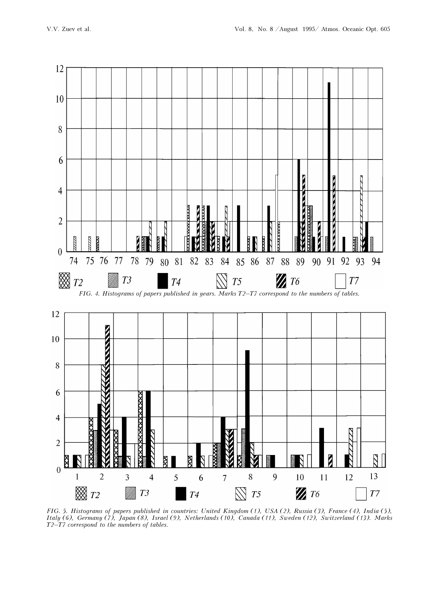

FIG. 5. Histograms of papers published in countries: United Kingdom (1), USA (2), Russia (3), France (4), India (5), Italy (6), Germany (7), Japan (8), Israel (9), Netherlands (10), Canada (11), Sweden (12), Switzerland (13). Marks T2–T7 correspond to the numbers of tables.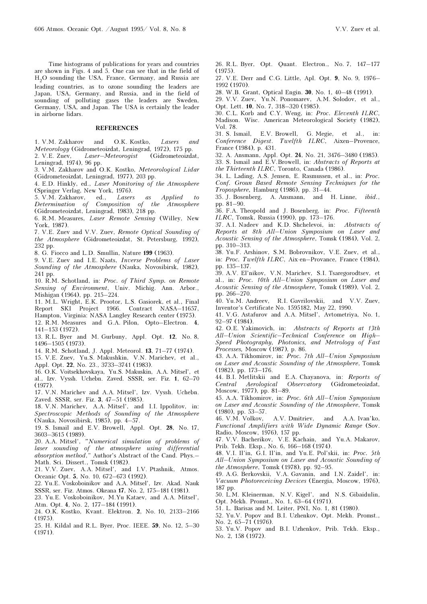Time histograms of publications for years and countries are shown in Figs. 4 and 5. One can see that in the field of H2O sounding the USA, France, Germany, and Russia are leading countries, as to ozone sounding the leaders are Japan, USA, Germany, and Russia, and in the field of sounding of polluting gases the leaders are Sweden, Germany, USA, and Japan. The USA is certainly the leader in airborne lidars.

#### REFERENCES

1. V.M. Zakharov and O.K. Kostko, Lasers and Meteorology (Gidrometeoizdat, Leningrad, 1972), 175 pp. 2. V.E. Zuev, Laser–Meteorogist (Gidrometeoizdat, Leningrad, 1974), 96 pp.

3. V.M. Zakharov and O.K. Kostko, Meteorological Lidar (Gidrometeoizdat, Leningrad, 1977), 203 pp.

4. E.D. Hinkly, ed., Laser Monitoring of the Atmosphere (Springer Verlag, New York, 1976).

5. V.M. Zakharov, ed., Lasers as Applied to Determination of Composition of the Atmosphere (Gidrometeoizdat, Leningrad, 1983), 218 pp.

6. R.M. Measures, Laser Remote Sensing (Willey, New York, 1987).

7. V.E. Zuev and V.V. Zuev, Remote Optical Sounding of the Atmosphere (Gidrometeoizdat, St. Petersburg, 1992), 232 pp.

8. G. Fiocco and L.D. Smullin, Nature 199 (1963).

9. V.E. Zuev and I.E. Naats, Inverse Problems of Laser Sounding of the Atmosphere (Nauka, Novosibirsk, 1982), 241 pp.

10. R.M. Schotland, in: Proc. of Third Symp. on Remote Sensing of Environment, Univ. Michig. Ann. Arbor., Mishigan (1964), pp. 215–224.

11. M.L. Wright, E.K. Prootor, L.S. Gasiorek, et al., Final Report SKI Project 1966. Contract NASA–11657, Hampton, Virginia: NASA Langley Research center (1975).

12. R.M. Measures and G.A. Pilon, Opto–Electron. 4, 141–153 (1972).

13. R.L. Byer and M. Gurbuny, Appl. Opt. 12, No. 8, 1496–1505 (1973).

14. R.M. Schotland, J. Appl. Meteorol. 13, 71–77 (1974).

15. V.E. Zuev, Yu.S. Makushkin, V.N. Marichev, et al., Appl. Opt. 22, No. 23., 3733–3741 (1983).

16. O.K. Voitsekhovskaya, Yu.S. Makuskin, A.A. Mitsel', et al., Izv. Vyssh. Uchebn. Zaved. SSSR, ser. Fiz. 1, 62–70 (1977).

17. V.N. Marichev and A.A. Mitsel', Izv. Vyssh. Uchebn. Zaved. SSSR, ser. Fiz. 3, 47–51 (1985).

18. V.N. Marichev, A.A. Mitsel', and I.I. Ippolitov, in: Spectroscopic Methods of Sounding of the Atmosphere (Nauka, Novosibirsk, 1985), pp. 4–57.

19. S. Ismail and E.V. Browell, Appl. Opt. 28, No. 17, 3603–3615 (1989).

20. A.A. Mitsel', "Numerical simulation of problems of laser sounding of the atmosphere using differential absorption method," Author's Abstract of the Cand. Phys.– Math. Sci. Dissert., Tomsk (1982).

21. V.V. Zuev, A.A. Mitsel', and I.V. Ptashnik, Atmos. Oceanic Opt. 5, No. 10, 672–673 (1992).

22. Yu.E. Voskoboinikov and A.A. Mitsel', Izv. Akad. Nauk SSSR, ser. Fiz. Atmos. Okeana 17, No. 2, 175–181 (1981).

23. Yu.E. Voskoboinikov, M.Yu Kataev, and A.A. Mitsel', Atm. Opt. 4, No. 2, 177–184 (1991).

24. O.K. Kostko, Kvant. Elektron. 2, No. 10, 2133–2166 (1975).

25. H. Kildal and R.L. Byer, Proc. IEEE. 59, No. 12, 5–30 (1971).

26. R.L. Byer, Opt. Quant. Electron., No. 7, 147–177  $(1975)$ 

27. V.E. Derr and C.G. Little, Apl. Opt. 9, No. 9, 1976– 1992 (1970).

28. W.B. Grant, Optical Engin. 30, No. 1, 40–48 (1991).

29. V.V. Zuev, Yu.N. Ponomarev, A.M. Solodov, et al., Opt. Lett. 10, No. 7, 318–320 (1985).

30. C.L. Korb and C.Y. Weng, in: Proc. Eleventh ILRC, Madison. Wisc. American Meteorological Society (1982), Vol. 78.

31. S. Ismail, E.V. Browell, G. Megie, et al., in: Conference Digest. Twelfth ILRC, Aixen–Provence, France (1984), p. 431.

32. A. Ansmann, Appl. Opt. 24, No. 21, 3476–3480 (1985).

33. S. Ismail and E.V.Browell, in: Abstracts of Reports at the Thirteenth ILRC, Toronto, Canada (1986).

34. L. Lading, A.S. Jensen, E. Rasmussen, et al., in: Proc. Conf. Groun Based Remote Sensing Techniques for the Troposphere, Hamburg (1986), pp. 31–44.

35. J. Bosenberg, A. Ansmann, and H. Linne, ibid., pp. 81–90.

36. F.A. Theopold and J. Bosenberg, in: Proc. Fifteenth ILRC, Tomsk, Russia (1990), pp. 173–176.

37. A.I. Nadeev and K.D. Shchelevoi, in: Abstracts of Reports at 8th All–Union Symposium on Laser and Acoustic Sensing of the Atmosphere, Tomsk (1984), Vol. 2, pp. 310–313.

38. Yu.F. Arshinov, S.M. Bobrovnikov, V.E. Zuev, et al., in: Proc. Twelfth ILRC, Aix-en–Provance, France (1984), pp. 135–137.

39. A.V. El'nikov, V.N. Marichev, S.I. Tsaregorodtsev, et al., in: Proc. 10th All–Union Symposium on Laser and Acoustic Sensing of the Atmosphere, Tomsk (1989), Vol. 2, pp. 266–270.

40. Yu.M. Andreev, R.I. Gavrilovskii, and V.V. Zuev, Inventor's Certificate No. 1595182, May 22, 1990.

41. V.G. Astafurov and A.A. Mitsel', Avtometriya, No. 1, 92–97 (1984).

42. O.E. Yakimovich, in: Abstracts of Reports at 13th All–Union Scientific–Technical Conference on High– Speed Photography, Photonics, and Metrology of Fast Processes, Moscow (1987), p. 86.

43. A.A. Tikhomirov, in: Proc. 7th All–Union Symposium on Laser and Acoustic Sounding of the Atmosphere, Tomsk (1982), pp. 173–176.

44. B.I. Metlitskii and E.A. Chayanova, in: Reports of Central Aerological Observatory (Gidrometeoizdat, Moscow, 1977), pp. 81–89.

45. A.A. Tikhomirov, in: Proc. 6th All–Union Symposium on Laser and Acoustic Sounding of the Atmosphere, Tomsk (1980), pp. 53–57.

46. V.M. Volkov, A.V. Dmitriev, and A.A. Ivan'ko, Functional Amplifiers with Wide Dynamic Range (Sov. Radio, Moscow, 1976), 157 pp.

47. V.V. Bacherikov, V.E. Kachain, and Yu.A. Makarov, Prib. Tekh. Eksp., No. 6, 166–168 (1974).

48. V.I. Il'in, G.I. Il'in, and Yu.E. Pol'skii, in: Proc. 5th All–Union Symposium on Laser and Acoustic Sounding of the Atmosphere, Tomsk (1978), pp. 92–95.

49. A.G. Berkovskii, V.A. Gavanin, and I.N. Zaidel', in: Vacuum Photoreceiving Devices (Energia, Moscow, 1976), 187 pp.

50. L.M. Kleinerman, N.V. Kigel', and N.S. Gibaidulin, Opt. Mekh. Promst., No. 1, 63–64 (1971).

51. L. Barisas and M. Leiter, PNI, No. 1, 81 (1980).

52. Yu.V. Popov and B.I. Uzhenkov, Opt. Mekh. Promst., No. 2, 65–71 (1976).

53. Yu.V. Popov and B.I. Uzhenkov, Prib. Tekh. Eksp., No. 2, 158 (1972).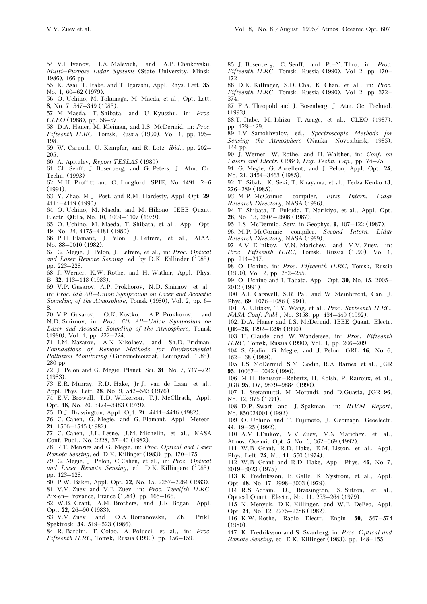- 54. V.I. Ivanov, I.A. Malevich, and A.P. Chaikovskii, Multi–Purpose Lidar Systems (State University, Minsk, 1986), 166 pp.
- 55. K. Asai, T. Itabe, and T. Igarashi, Appl. Rhys. Lett. 35, No. 1, 60–62 (1979).
- 56. O. Uchino, M. Tokunaga, M. Maeda, et al., Opt. Lett. 8, No. 7, 347–349 (1983).
- 57. M. Maeda, T. Shibata, and U. Kyusshu, in: Proc. CLEO (1988), pp. 56–57.
- 58. D.A. Haner, M. Kleiman, and I.S. McDermid, in: Proc. Fifteenth ILRC, Tomsk, Russia (1990), Vol. 1, pp. 195– 198.
- 59. W. Carnuth, U. Kempfer, and R. Lotz, ibid., pp. 202– 205.
- 60. A. Apituley, Report TESLAS (1989).
- 61. Ch. Senff, J. Bosenberg, and G. Peters, J. Atm. Oc. Techn. (1993)
- 62. M.H. Proffitt and O. Longford, SPIE, No. 1491, 2–6 (1991).
- 63. Y. Zhao, M.J. Post, and R.M. Hardesty, Appl. Opt. 29, 4111–4119 (1990).
- 64. O. Uchino, M. Maeda, and M. Hikono, IEEE Quant. Electr. QE15, No. 10, 1094–1107 (1979).
- 65. O. Uchino, M. Maeda, T. Shibata, et al., Appl. Opt. 19, No. 24, 4175–4181 (1980).
- 66. P.H. Flamant, J. Pelon, J. Lefrere, et al., AIAA, No. 88–0010 (1982).
- 67. G. Megie, J. Pelon, J. Lefrere, et al., in: Proc. Optical and Laser Remote Sensing, ed. by D.K. Killinder (1983), pp. 223–228.
- 68. J. Werner, K.W. Rothe, and H. Wather, Appl. Phys. B. 32, 113–118 (1983).
- 69. V.P. Gusarov, A.P. Prokhorov, N.D. Smirnov, et al., in: Proc. 6th All–Union Symposium on Laser and Acoustic Sounding of the Atmosphere, Tomsk (1980), Vol. 2, pp. 6– 8.
- 70. V.P. Gusarov, O.K. Kostko, A.P. Prokhorov, and N.D. Smirnov, in: Proc. 6th All–Union Symposium on Laser and Acoustic Sounding of the Atmosphere, Tomsk (1980), Vol. 1, pp. 222–224.
- 71. I.M. Nazarov, A.N. Nikolaev, and Sh.D. Fridman, Foundations of Remote Methods for Environmental Pollution Monitoring (Gidrometeoizdat, Leningrad, 1983), 280 pp.
- 72. J. Pelon and G. Megie, Planet. Sci. 31, No. 7, 717–721 (1983).
- 73. E.R. Murray, R.D. Hake, Jr.J. van de Laan, et al., Appl. Phys. Lett. 28. No. 9, 542–543 (1976).
- 74. E.V. Browell, T.D. Wilkerson, T.J. McCllrath, Appl. Opt. 18, No. 20, 3474–3483 (1979).
- 75. D.J. Brassington, Appl. Opt. 21, 4411–4416 (1982).
- 76. C. Cahen, G. Megie, and G. Flamant, Appl. Meteor. 21, 1506–1515 (1982).
- 77. C. Cahen, J.L. Lesne, J.M. Michelin, et al., NASA Conf. Publ., No. 2228, 37–40 (1982).
- 78. R.T. Menzies and G. Megie, in: Proc. Optical and Laser Remote Sensing, ed. D.K. Killinger (1983), pp. 170–175.
- 79. G. Megie, J. Pelon, C.Cahen, et al., in: Proc. Optical and Laser Remote Sensing, ed. D.K. Killingere (1983), pp. 123–128.
- 80. P.W. Baker, Appl. Opt. 22, No. 15, 2257–2264 (1983).
- 81. V.V. Zuev and V.E. Zuev, in: Proc. Twelfth ILRC, Aix-en–Provance, France (1984), pp. 165–166.
- 82. W.B. Grant, A.M. Brothers, and J.R. Bogan, Appl. Opt. 22, 26–90 (1983).
- 83. V.V. Zuev and O.A. Romanovskii, Zh. Prikl. Spektrosk. 34, 519–523 (1986).
- 84. R. Barbini, F. Colao, A. Polucci, et al., in: Proc. Fifteenth ILRC, Tomsk, Russia (1990), pp. 156–159.
- 85. J. Bosenberg, C. Senff, and P.–Y. Thro, in: Proc. Fifteenth ILRC, Tomsk, Russia (1990), Vol. 2, pp. 170– 172.
- 86. D.K. Killinger, S.D. Cha, K. Chan, et al., in: Proc. Fifteenth ILRC, Tomsk, Russia (1990), Vol. 2, pp. 372– 374.
- 87. F.A. Theopold and J. Bosenberg, J. Atm. Oc. Technol. (1993).
- 88.T. Itabe, M. Ishizu, T. Aruge, et al., CLEO (1987), pp. 128–129.
- 89. I.V. Samokhvalov, ed., Spectroscopic Methods for Sensing the Atmosphere (Nauka, Novosibirsk, 1985), 144 pp.
- 90. J. Werner, W. Rothe, and H. Walther, in: Conf. on Lasers and Electr. (1984), Dig. Techn. Pap., pp. 74–75.
- 91. G. Megle, G. Ancellent, and J. Pelon, Appl. Opt. 24, No. 21, 3454–3463 (1985).
- 92. T. Sibata, K. Seki, T. Khayama, et al., Fedza Kenko 13,
- 276–289 (1985).<br>93. M.P. McCormic, compiler, First Intern. Lidar Research Directory, NASA (1986).
- 94. T. Shibata, T. Fukuda, T. Narikiyo, et al., Appl. Opt. 26, No. 13, 2604–2608 (1987).
- 95. I.S. McDermid, Serv. in Geophys. 9, 107–122 (1987).
- 96. M.P. McCormic, compiler, Second Intern. Lidar Research Directory, NASA (1989).
- 97. A.V. El'nikov, V.N. Marichev, and V.V. Zuev, in: Proc. Fifteenth ILRC, Tomsk, Russia (1990), Vol. 1, pp. 214–217.
- 98. O. Uchino, in: Proc. Fifteenth ILRC, Tomsk, Russia (1990), Vol. 2, pp. 252–255.
- 99. O. Uchino and I. Tabata, Appl. Opt. 30, No. 15, 2005– 2012 (1991).
- 100. A.I. Carswell, S.R. Pal, and W. Steinbrecht, Can. J. Phys. 69, 1076–1086 (1991).
- 101. A. Ulitsky, T.Y. Wang, et al., Proc. Sixteenth ILRC. NASA Conf. Publ., No. 3158, pp. 434–449 (1992).
- 102. D.A. Haner and I.S. McDermid, IEEE Quant. Electr. QE–26, 1292–1298 (1990).
- 103. H. Claude and W. Wandersee, in: Proc. Fifteenth ILRC, Tomsk, Russia (1990), Vol. 1, pp. 206–209.
- 104. S. Godin, G. Megie, and J. Pelon, GRL 16, No. 6, 162–168 (1989).
- 105. I.S. McDermid, S.M. Godin, R.A. Barnes, et al., JGR 95, 10037–10042 (1990).
- 106. M.H. Beniston–Rebertz, H. Kolsh, P. Rairoux, et al., JGR 95, D7, 9879–9884 (1990).
- 107. L. Stefannutti, M. Morandi, and D.Guasta, JGR 96, No. 12, 975 (1991).
- 108. D.P. Swart and J. Spakman, in: RIVM Report, No. 850024001 (1992).
- 109. O. Uchino and T. Fujimoto, J. Geomagn. Geoelectr. 44, 19–25 (1992).
- 110. A.V. El'nikov, V.V. Zuev, V.N. Marichev, et al., Atmos. Oceanic Opt. 5, No. 6, 362–369 (1992).
- 111. W.B. Grant, R.D. Hake, E.M. Liston, et al., Appl. Phys. Lett. 24, No. 11, 550 (1974).
- 112. W.B. Grant and R.D. Hake, Appl. Phys. 46, No. 7, 3019–3023 (1975).
- 113. K. Fredriksson, B. Galle, K. Nystrom, et al., Appl. Opt. 18, No. 17, 2998–3003 (1979).
- 114. R.S. Adrain, D.J. Brassington, S. Sutton, et al., Optical Quant. Electr., No. 11, 253–264 (1979).
- 115. N. Menyuk, D.K. Killinger, and W.E. DeFeo, Appl. Opt. 21, No. 12, 2275–2286 (1982).
- 116. K.W. Rothe, Radio Electr. Engin. 50, 567–574 (1980).
- 117. K. Fredriksson and S. Svanberg, in: Proc. Optical and Remote Sensing, ed. E.K. Killinger (1983), pp. 148–155.